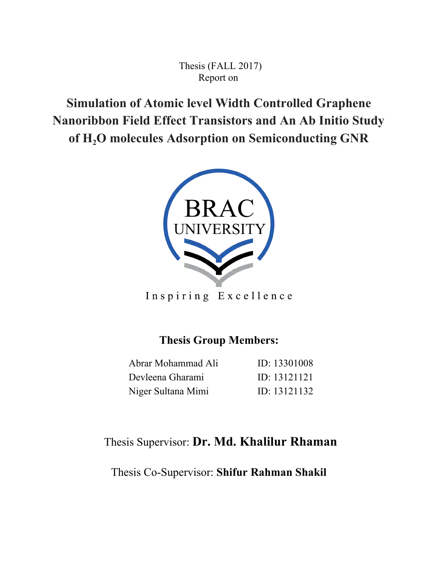Thesis (FALL 2017) Report on

**Simulation of Atomic level Width Controlled Graphene Nanoribbon Field Effect Transistors and An Ab Initio Study of H2O molecules Adsorption on Semiconducting GNR**



Inspiring Excellence

# **Thesis Group Members:**

| Abrar Mohammad Ali | ID: 13301008 |
|--------------------|--------------|
| Devleena Gharami   | ID: 13121121 |
| Niger Sultana Mimi | ID: 13121132 |

# Thesis Supervisor: **Dr. Md. Khalilur Rhaman**

Thesis Co-Supervisor: **Shifur Rahman Shakil**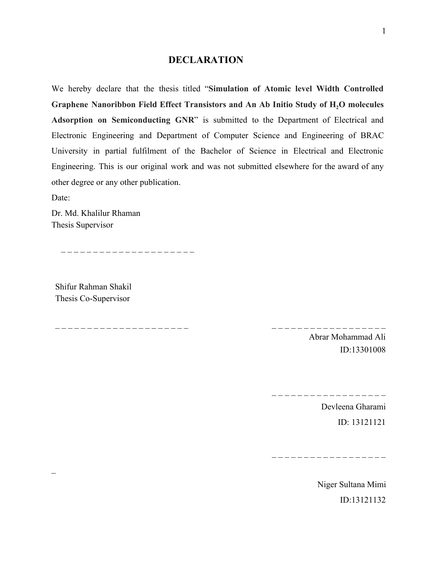### **DECLARATION**

We hereby declare that the thesis titled " **Simulation of Atomic level Width Controlled Graphene Nanoribbon Field Effect Transistors and An Ab Initio Study of H2O molecules**  Adsorption on Semiconducting GNR" is submitted to the Department of Electrical and Electronic Engineering and Department of Computer Science and Engineering of BRAC University in partial fulfilment of the Bachelor of Science in Electrical and Electronic Engineering. This is our original work and was not submitted elsewhere for the award of any other degree or any other publication.

Date:

 $\overline{a}$ 

Dr. Md. Khalilur Rhaman Thesis Supervisor

Shifur Rahman Shakil Thesis Co-Supervisor

\_ \_ \_ \_ \_ \_ \_ \_ \_ \_ \_ \_ \_ \_ \_ \_ \_ \_ \_ \_ \_ \_ \_ \_ \_ \_ \_ \_ \_ \_ \_ \_ \_ \_ \_ \_ \_ \_ \_

\_ \_ \_ \_ \_ \_ \_ \_ \_ \_ \_ \_ \_ \_ \_ \_ \_ \_ \_ \_ \_

Abrar Mohammad Ali ID:13301008

\_ \_ \_ \_ \_ \_ \_ \_ \_ \_ \_ \_ \_ \_ \_ \_ \_ \_ \_

Devleena Gharami ID: 13121121

\_ \_ \_ \_ \_ \_ \_ \_ \_ \_ \_ \_ \_ \_ \_ \_ \_ \_

Niger Sultana Mimi ID:13121132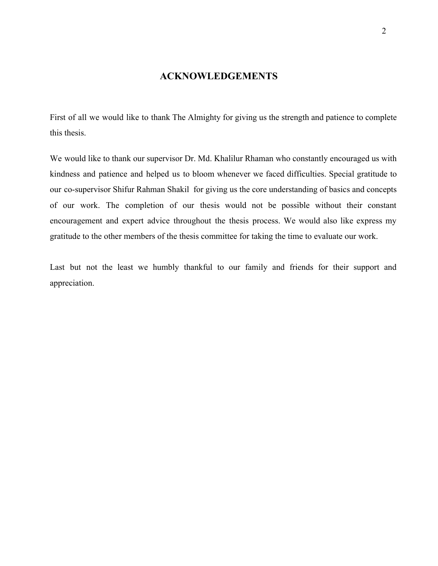## **ACKNOWLEDGEMENTS**

First of all we would like to thank The Almighty for giving us the strength and patience to complete this thesis.

We would like to thank our supervisor Dr. Md. Khalilur Rhaman who constantly encouraged us with kindness and patience and helped us to bloom whenever we faced difficulties. Special gratitude to our co-supervisor Shifur Rahman Shakil for giving us the core understanding of basics and concepts of our work. The completion of our thesis would not be possible without their constant encouragement and expert advice throughout the thesis process. We would also like express my gratitude to the other members of the thesis committee for taking the time to evaluate our work.

Last but not the least we humbly thankful to our family and friends for their support and appreciation.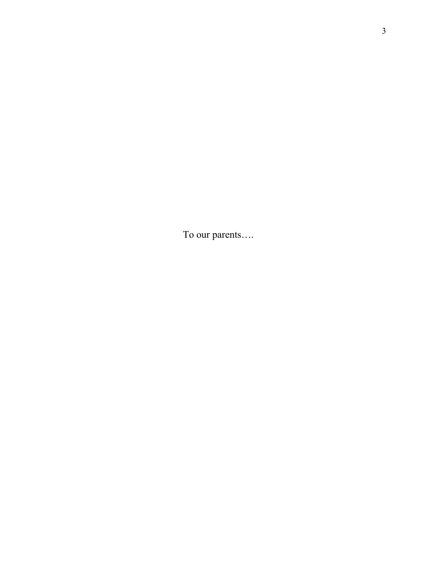To our parents….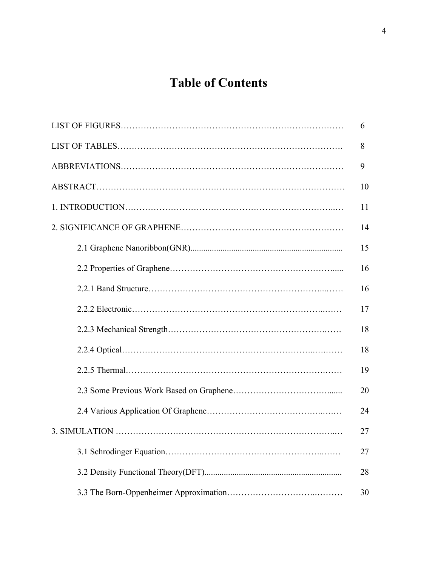# **Table of Contents**

| 6  |
|----|
| 8  |
| 9  |
| 10 |
| 11 |
| 14 |
| 15 |
| 16 |
| 16 |
| 17 |
| 18 |
| 18 |
| 19 |
| 20 |
| 24 |
| 27 |
| 27 |
| 28 |
| 30 |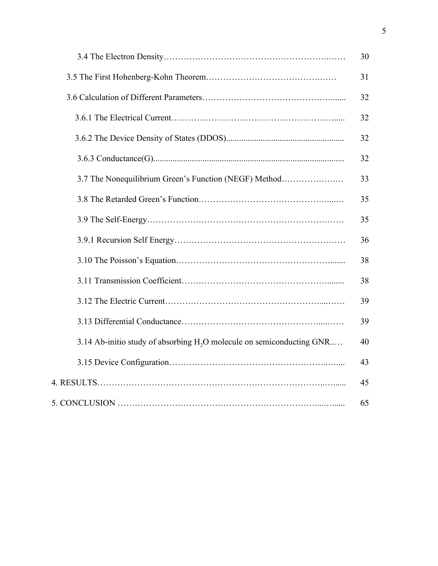|                                                                                   | 30 |
|-----------------------------------------------------------------------------------|----|
|                                                                                   | 31 |
|                                                                                   | 32 |
|                                                                                   | 32 |
|                                                                                   | 32 |
|                                                                                   | 32 |
| 3.7 The Nonequilibrium Green's Function (NEGF) Method                             | 33 |
|                                                                                   | 35 |
|                                                                                   | 35 |
|                                                                                   | 36 |
|                                                                                   | 38 |
|                                                                                   | 38 |
|                                                                                   | 39 |
|                                                                                   | 39 |
| 3.14 Ab-initio study of absorbing H <sub>2</sub> O molecule on semiconducting GNR | 40 |
|                                                                                   | 43 |
|                                                                                   | 45 |
|                                                                                   | 65 |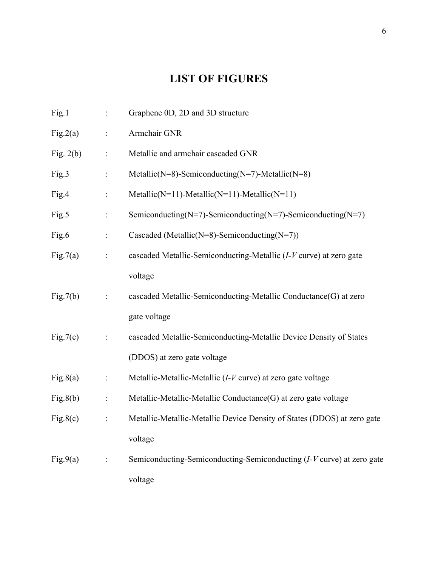# **LIST OF FIGURES**

| Fig.1       | $\ddot{\cdot}$ | Graphene 0D, 2D and 3D structure                                        |
|-------------|----------------|-------------------------------------------------------------------------|
| Fig.2(a)    | $\ddot{\cdot}$ | Armchair GNR                                                            |
| Fig. $2(b)$ | :              | Metallic and armchair cascaded GNR                                      |
| Fig.3       | $\ddot{\cdot}$ | Metallic(N=8)-Semiconducting(N=7)-Metallic(N=8)                         |
| Fig.4       | $\ddot{\cdot}$ | Metallic( $N=11$ )-Metallic( $N=11$ )-Metallic( $N=11$ )                |
| Fig.5       | $\ddot{\cdot}$ | Semiconducting(N=7)-Semiconducting(N=7)-Semiconducting(N=7)             |
| Fig.6       | $\ddot{\cdot}$ | Cascaded (Metallic(N=8)-Semiconducting(N=7))                            |
| Fig.7(a)    | $\ddot{\cdot}$ | cascaded Metallic-Semiconducting-Metallic (I-V curve) at zero gate      |
|             |                | voltage                                                                 |
| Fig.7(b)    | :              | cascaded Metallic-Semiconducting-Metallic Conductance(G) at zero        |
|             |                | gate voltage                                                            |
| Fig.7(c)    | $\ddot{\cdot}$ | cascaded Metallic-Semiconducting-Metallic Device Density of States      |
|             |                | (DDOS) at zero gate voltage                                             |
| Fig.8(a)    | $\ddot{\cdot}$ | Metallic-Metallic-Metallic $(I-V)$ curve) at zero gate voltage          |
| Fig.8(b)    | $\vdots$       | Metallic-Metallic-Metallic Conductance(G) at zero gate voltage          |
| Fig.8(c)    | $\ddot{\cdot}$ | Metallic-Metallic-Metallic Device Density of States (DDOS) at zero gate |
|             |                | voltage                                                                 |
| Fig.9(a)    |                | Semiconducting-Semiconducting-Semiconducting (I-V curve) at zero gate   |
|             |                | voltage                                                                 |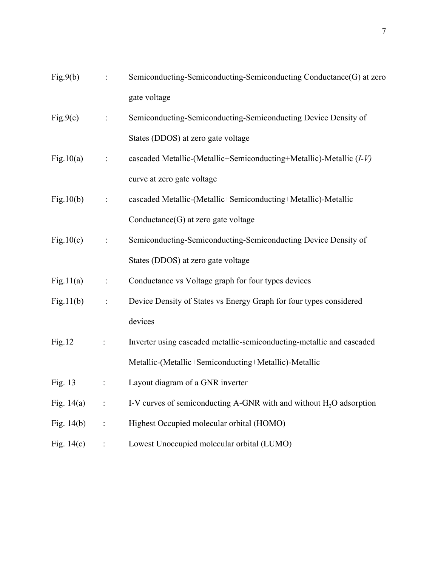| Fig.9(b)     | $\ddot{\cdot}$ | Semiconducting-Semiconducting-Semiconducting Conductance(G) at zero   |  |
|--------------|----------------|-----------------------------------------------------------------------|--|
|              |                | gate voltage                                                          |  |
| Fig.9(c)     | $\ddot{\cdot}$ | Semiconducting-Semiconducting-Semiconducting Device Density of        |  |
|              |                | States (DDOS) at zero gate voltage                                    |  |
| Fig. $10(a)$ | $\ddot{\cdot}$ | cascaded Metallic-(Metallic+Semiconducting+Metallic)-Metallic (I-V)   |  |
|              |                | curve at zero gate voltage                                            |  |
| Fig.10(b)    | $\ddot{\cdot}$ | cascaded Metallic-(Metallic+Semiconducting+Metallic)-Metallic         |  |
|              |                | Conductance $(G)$ at zero gate voltage                                |  |
| Fig.10(c)    | $\ddot{\cdot}$ | Semiconducting-Semiconducting-Semiconducting Device Density of        |  |
|              |                | States (DDOS) at zero gate voltage                                    |  |
| Fig.11(a)    | $\ddot{\cdot}$ | Conductance vs Voltage graph for four types devices                   |  |
| Fig.11(b)    | $\ddot{\cdot}$ | Device Density of States vs Energy Graph for four types considered    |  |
|              |                | devices                                                               |  |
| Fig.12       | $\ddot{\cdot}$ | Inverter using cascaded metallic-semiconducting-metallic and cascaded |  |
|              |                | Metallic-(Metallic+Semiconducting+Metallic)-Metallic                  |  |
| Fig. 13      | $\ddot{\cdot}$ | Layout diagram of a GNR inverter                                      |  |
| Fig. $14(a)$ |                | I-V curves of semiconducting A-GNR with and without $H_2O$ adsorption |  |
| Fig. $14(b)$ |                | Highest Occupied molecular orbital (HOMO)                             |  |
| Fig. $14(c)$ |                | Lowest Unoccupied molecular orbital (LUMO)                            |  |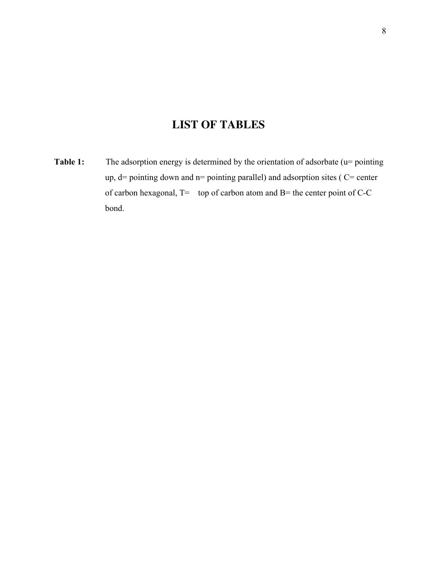# **LIST OF TABLES**

Table 1: The adsorption energy is determined by the orientation of adsorbate (u= pointing up,  $d=$  pointing down and n= pointing parallel) and adsorption sites ( $C=$  center of carbon hexagonal, T= top of carbon atom and B= the center point of C-C bond.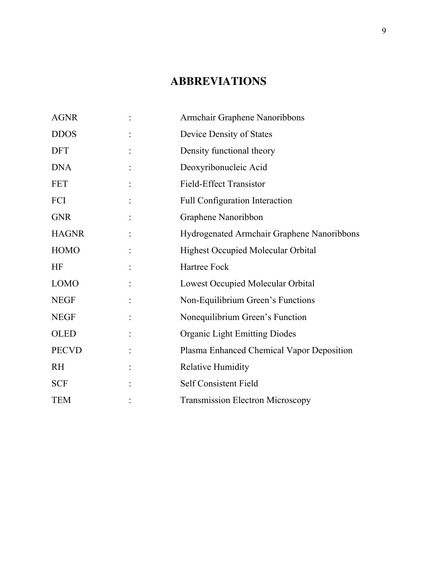# **ABBREVIATIONS**

| <b>AGNR</b>  | Armchair Graphene Nanoribbons              |  |
|--------------|--------------------------------------------|--|
| <b>DDOS</b>  | Device Density of States                   |  |
| <b>DFT</b>   | Density functional theory                  |  |
| <b>DNA</b>   | Deoxyribonucleic Acid                      |  |
| <b>FET</b>   | <b>Field-Effect Transistor</b>             |  |
| FCI          | Full Configuration Interaction             |  |
| <b>GNR</b>   | Graphene Nanoribbon                        |  |
| <b>HAGNR</b> | Hydrogenated Armchair Graphene Nanoribbons |  |
| <b>HOMO</b>  | <b>Highest Occupied Molecular Orbital</b>  |  |
| <b>HF</b>    | Hartree Fock                               |  |
| <b>LOMO</b>  | Lowest Occupied Molecular Orbital          |  |
| <b>NEGF</b>  | Non-Equilibrium Green's Functions          |  |
| <b>NEGF</b>  | Nonequilibrium Green's Function            |  |
| <b>OLED</b>  | <b>Organic Light Emitting Diodes</b>       |  |
| <b>PECVD</b> | Plasma Enhanced Chemical Vapor Deposition  |  |
| <b>RH</b>    | <b>Relative Humidity</b>                   |  |
| <b>SCF</b>   | Self Consistent Field                      |  |
| <b>TEM</b>   | <b>Transmission Electron Microscopy</b>    |  |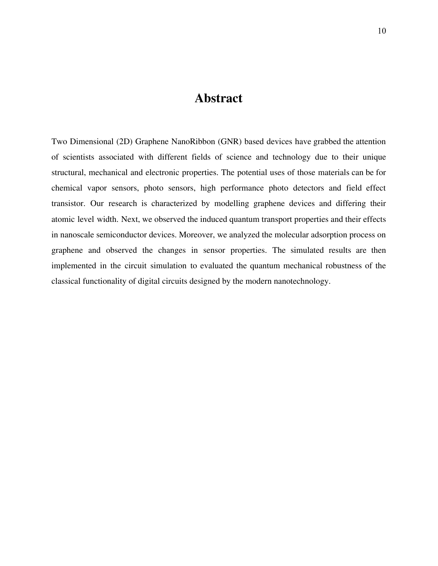# **Abstract**

Two Dimensional (2D) Graphene NanoRibbon (GNR) based devices have grabbed the attention of scientists associated with different fields of science and technology due to their unique structural, mechanical and electronic properties. The potential uses of those materials can be for chemical vapor sensors, photo sensors, high performance photo detectors and field effect transistor. Our research is characterized by modelling graphene devices and differing their atomic level width. Next, we observed the induced quantum transport properties and their effects in nanoscale semiconductor devices. Moreover, we analyzed the molecular adsorption process on graphene and observed the changes in sensor properties. The simulated results are then implemented in the circuit simulation to evaluated the quantum mechanical robustness of the classical functionality of digital circuits designed by the modern nanotechnology.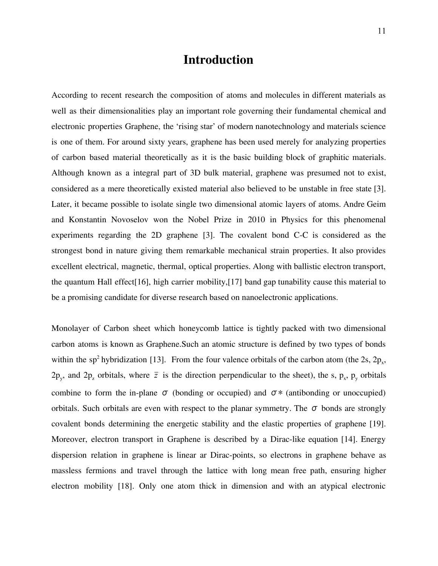## **Introduction**

According to recent research the composition of atoms and molecules in different materials as well as their dimensionalities play an important role governing their fundamental chemical and electronic properties Graphene, the 'rising star' of modern nanotechnology and materials science is one of them. For around sixty years, graphene has been used merely for analyzing properties of carbon based material theoretically as it is the basic building block of graphitic materials. Although known as a integral part of 3D bulk material, graphene was presumed not to exist, considered as a mere theoretically existed material also believed to be unstable in free state [3]. Later, it became possible to isolate single two dimensional atomic layers of atoms. Andre Geim and Konstantin Novoselov won the Nobel Prize in 2010 in Physics for this phenomenal experiments regarding the 2D graphene [3]. The covalent bond C-C is considered as the strongest bond in nature giving them remarkable mechanical strain properties. It also provides excellent electrical, magnetic, thermal, optical properties. Along with ballistic electron transport, the quantum Hall effect[16], high carrier mobility,[17] band gap tunability cause this material to be a promising candidate for diverse research based on nanoelectronic applications.

Monolayer of Carbon sheet which honeycomb lattice is tightly packed with two dimensional carbon atoms is known as Graphene.Such an atomic structure is defined by two types of bonds within the sp<sup>2</sup> hybridization [13]. From the four valence orbitals of the carbon atom (the 2s,  $2p_x$ ,  $2p_y$ , and  $2p_z$  orbitals, where  $\bar{z}$  is the direction perpendicular to the sheet), the s,  $p_x$ ,  $p_y$  orbitals combine to form the in-plane  $\sigma$  (bonding or occupied) and  $\sigma$  \* (antibonding or unoccupied) orbitals. Such orbitals are even with respect to the planar symmetry. The  $\sigma$  bonds are strongly covalent bonds determining the energetic stability and the elastic properties of graphene [19]. Moreover, electron transport in Graphene is described by a Dirac-like equation [14]. Energy dispersion relation in graphene is linear ar Dirac-points, so electrons in graphene behave as massless fermions and travel through the lattice with long mean free path, ensuring higher electron mobility [18]. Only one atom thick in dimension and with an atypical electronic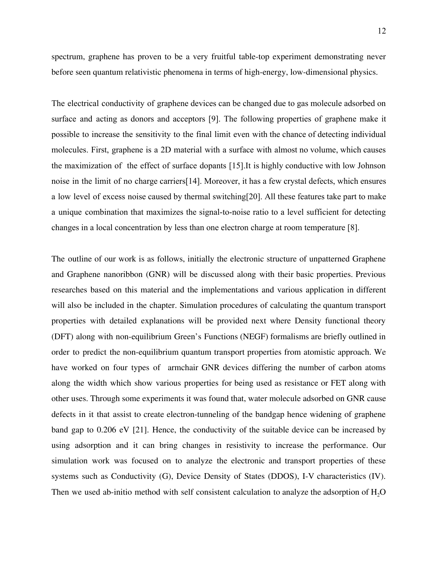spectrum, graphene has proven to be a very fruitful table-top experiment demonstrating never before seen quantum relativistic phenomena in terms of high-energy, low-dimensional physics.

The electrical conductivity of graphene devices can be changed due to gas molecule adsorbed on surface and acting as donors and acceptors [9]. The following properties of graphene make it possible to increase the sensitivity to the final limit even with the chance of detecting individual molecules. First, graphene is a 2D material with a surface with almost no volume, which causes the maximization of the effect of surface dopants [15].It is highly conductive with low Johnson noise in the limit of no charge carriers[14]. Moreover, it has a few crystal defects, which ensures a low level of excess noise caused by thermal switching[20]. All these features take part to make a unique combination that maximizes the signal-to-noise ratio to a level sufficient for detecting changes in a local concentration by less than one electron charge at room temperature [8].

The outline of our work is as follows, initially the electronic structure of unpatterned Graphene and Graphene nanoribbon (GNR) will be discussed along with their basic properties. Previous researches based on this material and the implementations and various application in different will also be included in the chapter. Simulation procedures of calculating the quantum transport properties with detailed explanations will be provided next where Density functional theory (DFT) along with non-equilibrium Green's Functions (NEGF) formalisms are briefly outlined in order to predict the non-equilibrium quantum transport properties from atomistic approach. We have worked on four types of armchair GNR devices differing the number of carbon atoms along the width which show various properties for being used as resistance or FET along with other uses. Through some experiments it was found that, water molecule adsorbed on GNR cause defects in it that assist to create electron-tunneling of the bandgap hence widening of graphene band gap to 0.206 eV [21]. Hence, the conductivity of the suitable device can be increased by using adsorption and it can bring changes in resistivity to increase the performance. Our simulation work was focused on to analyze the electronic and transport properties of these systems such as Conductivity (G), Device Density of States (DDOS), I-V characteristics (IV). Then we used ab-initio method with self consistent calculation to analyze the adsorption of  $H<sub>2</sub>O$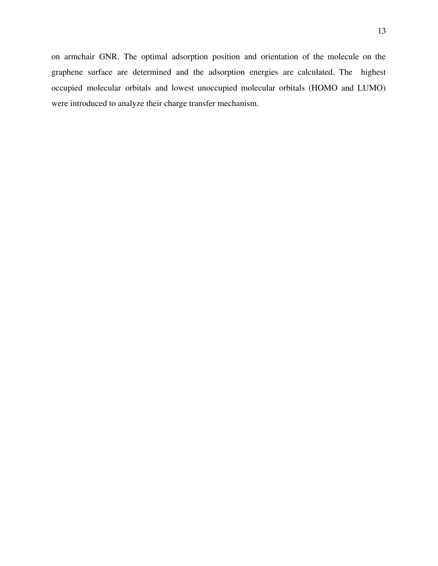on armchair GNR. The optimal adsorption position and orientation of the molecule on the graphene surface are determined and the adsorption energies are calculated. The highest occupied molecular orbitals and lowest unoccupied molecular orbitals (HOMO and LUMO) were introduced to analyze their charge transfer mechanism.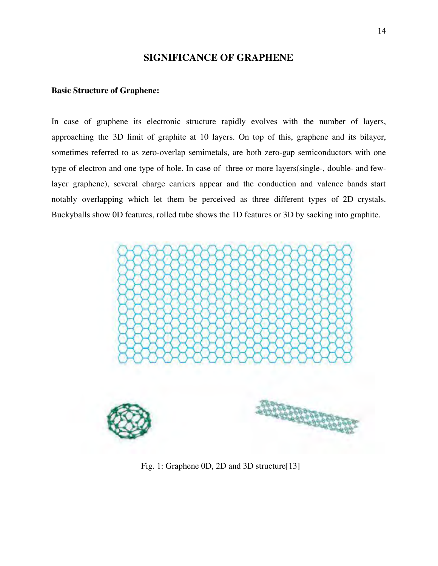### **SIGNIFICANCE OF GRAPHENE**

#### **Basic Structure of Graphene:**

In case of graphene its electronic structure rapidly evolves with the number of layers, approaching the 3D limit of graphite at 10 layers. On top of this, graphene and its bilayer, sometimes referred to as zero-overlap semimetals, are both zero-gap semiconductors with one type of electron and one type of hole. In case of three or more layers(single-, double- and few layer graphene), several charge carriers appear and the conduction and valence bands start notably overlapping which let them be perceived as three different types of 2D crystals. Buckyballs show 0D features, rolled tube shows the 1D features or 3D by sacking into graphite.



Fig. 1: Graphene 0D, 2D and 3D structure[13]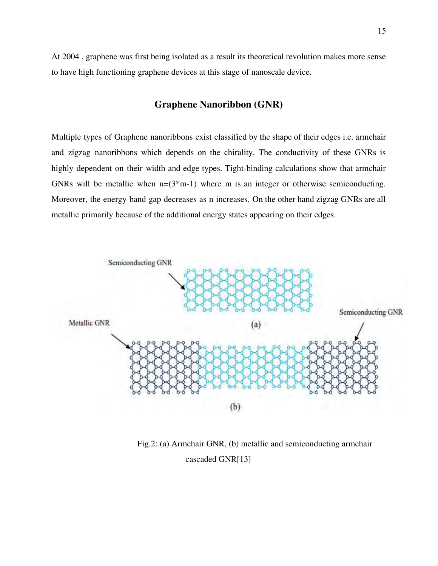At 2004 , graphene was first being isolated as a result its theoretical revolution makes more sense to have high functioning graphene devices at this stage of nanoscale device.

## **Graphene Nanoribbon (GNR)**

Multiple types of Graphene nanoribbons exist classified by the shape of their edges i.e. armchair and zigzag nanoribbons which depends on the chirality. The conductivity of these GNRs is highly dependent on their width and edge types. Tight-binding calculations show that armchair GNRs will be metallic when  $n=(3+m-1)$  where m is an integer or otherwise semiconducting. Moreover, the energy band gap decreases as n increases. On the other hand zigzag GNRs are all metallic primarily because of the additional energy states appearing on their edges.



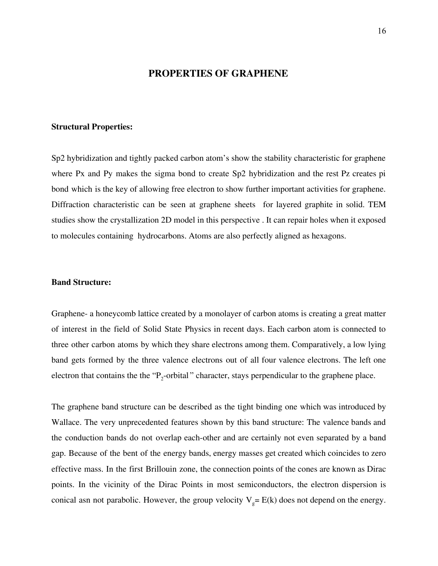#### **PROPERTIES OF GRAPHENE**

#### **Structural Properties:**

Sp2 hybridization and tightly packed carbon atom's show the stability characteristic for graphene where Px and Py makes the sigma bond to create Sp2 hybridization and the rest Pz creates pi bond which is the key of allowing free electron to show further important activities for graphene. Diffraction characteristic can be seen at graphene sheets for layered graphite in solid. TEM studies show the crystallization 2D model in this perspective . It can repair holes when it exposed to molecules containing hydrocarbons. Atoms are also perfectly aligned as hexagons.

#### **Band Structure:**

Graphene- a honeycomb lattice created by a monolayer of carbon atoms is creating a great matter of interest in the field of Solid State Physics in recent days. Each carbon atom is connected to three other carbon atoms by which they share electrons among them. Comparatively, a low lying band gets formed by the three valence electrons out of all four valence electrons. The left one electron that contains the the " $P_2$ -orbital" character, stays perpendicular to the graphene place.

The graphene band structure can be described as the tight binding one which was introduced by Wallace. The very unprecedented features shown by this band structure: The valence bands and the conduction bands do not overlap each-other and are certainly not even separated by a band gap. Because of the bent of the energy bands, energy masses get created which coincides to zero effective mass. In the first Brillouin zone, the connection points of the cones are known as Dirac points. In the vicinity of the Dirac Points in most semiconductors, the electron dispersion is conical asn not parabolic. However, the group velocity  $V_g = E(k)$  does not depend on the energy.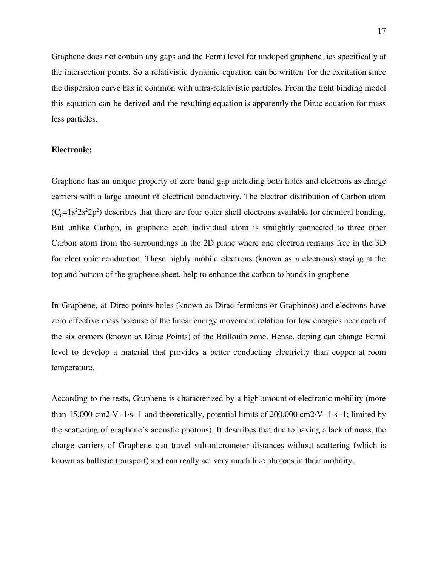Graphene does not contain any gaps and the Fermi level for undoped graphene lies specifically at the intersection points. So a relativistic dynamic equation can be written for the excitation since the dispersion curve has in common with ultra-relativistic particles. From the tight binding model this equation can be derived and the resulting equation is apparently the Dirac equation for mass less particles.

#### **Electronic:**

Graphene has an unique property of zero band gap including both holes and electrons as charge carriers with a large amount of electrical conductivity. The electron distribution of Carbon atom  $(C_6=1s^22s^22p^2)$  describes that there are four outer shell electrons available for chemical bonding. But unlike Carbon, in graphene each individual atom is straightly connected to three other Carbon atom from the surroundings in the 2D plane where one electron remains free in the 3D for electronic conduction. These highly mobile electrons (known as  $\pi$  electrons) staying at the top and bottom of the graphene sheet, help to enhance the carbon to bonds in graphene.

In Graphene, at Direc points holes (known as Dirac fermions or Graphinos) and electrons have zero effective mass because of the linear energy movement relation for low energies near each of the six corners (known as Dirac Points) of the Brillouin zone. Hense, doping can change Fermi level to develop a material that provides a better conducting electricity than copper at room temperature.

According to the tests, Graphene is characterized by a high amount of electronic mobility (more than 15,000 cm2·V−1·s−1 and theoretically, potential limits of 200,000 cm2·V−1·s−1; limited by the scattering of graphene's acoustic photons). It describes that due to having a lack of mass, the charge carriers of Graphene can travel sub-micrometer distances without scattering (which is known as ballistic transport) and can really act very much like photons in their mobility.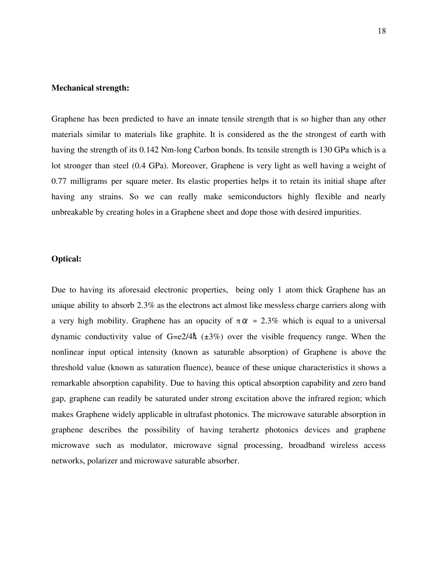#### **Mechanical strength:**

Graphene has been predicted to have an innate tensile strength that is so higher than any other materials similar to materials like graphite. It is considered as the the strongest of earth with having the strength of its 0.142 Nm-long Carbon bonds. Its tensile strength is 130 GPa which is a lot stronger than steel (0.4 GPa). Moreover, Graphene is very light as well having a weight of 0.77 milligrams per square meter. Its elastic properties helps it to retain its initial shape after having any strains. So we can really make semiconductors highly flexible and nearly unbreakable by creating holes in a Graphene sheet and dope those with desired impurities.

#### **Optical:**

Due to having its aforesaid electronic properties, being only 1 atom thick Graphene has an unique ability to absorb 2.3% as the electrons act almost like messless charge carriers along with a very high mobility. Graphene has an opacity of  $\pi \alpha \approx 2.3\%$  which is equal to a universal dynamic conductivity value of  $G=e^2/4\hbar$  ( $\pm 3\%$ ) over the visible frequency range. When the nonlinear input optical intensity (known as saturable absorption) of Graphene is above the threshold value (known as saturation fluence), beauce of these unique characteristics it shows a remarkable absorption capability. Due to having this optical absorption capability and zero band gap, graphene can readily be saturated under strong excitation above the infrared region; which makes Graphene widely applicable in ultrafast photonics. The microwave saturable absorption in graphene describes the possibility of having terahertz photonics devices and graphene microwave such as modulator, microwave signal processing, broadband wireless access networks, polarizer and microwave saturable absorber.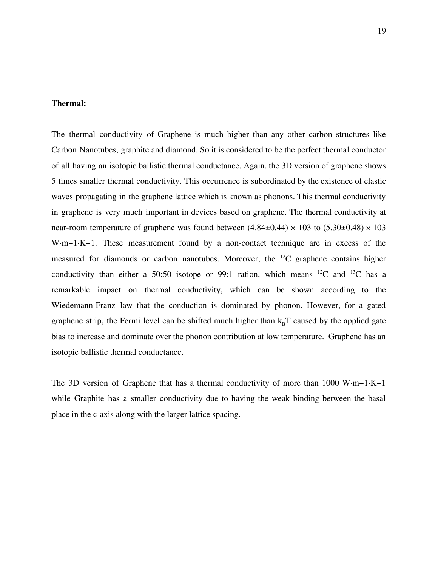#### **Thermal:**

The thermal conductivity of Graphene is much higher than any other carbon structures like Carbon Nanotubes, graphite and diamond. So it is considered to be the perfect thermal conductor of all having an isotopic ballistic thermal conductance. Again, the 3D version of graphene shows 5 times smaller thermal conductivity. This occurrence is subordinated by the existence of elastic waves propagating in the graphene lattice which is known as phonons. This thermal conductivity in graphene is very much important in devices based on graphene. The thermal conductivity at near-room temperature of graphene was found between  $(4.84\pm0.44) \times 103$  to  $(5.30\pm0.48) \times 103$ W·m−1·K−1. These measurement found by a non-contact technique are in excess of the measured for diamonds or carbon nanotubes. Moreover, the <sup>12</sup>C graphene contains higher conductivity than either a 50:50 isotope or 99:1 ration, which means  $^{12}C$  and  $^{13}C$  has a remarkable impact on thermal conductivity, which can be shown according to the Wiedemann-Franz law that the conduction is dominated by phonon. However, for a gated graphene strip, the Fermi level can be shifted much higher than  $k<sub>B</sub>T$  caused by the applied gate bias to increase and dominate over the phonon contribution at low temperature. Graphene has an isotopic ballistic thermal conductance.

The 3D version of Graphene that has a thermal conductivity of more than 1000 W·m−1·K−1 while Graphite has a smaller conductivity due to having the weak binding between the basal place in the c-axis along with the larger lattice spacing.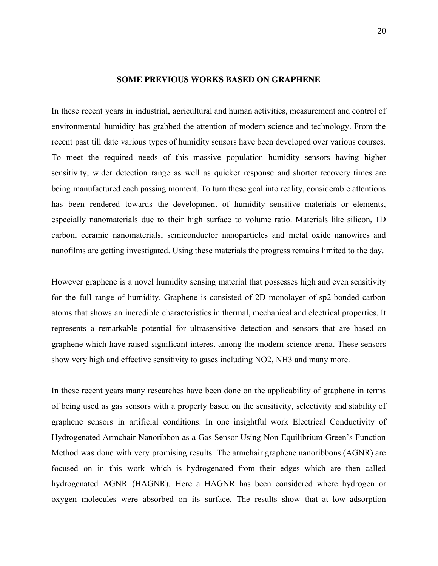#### **SOME PREVIOUS WORKS BASED ON GRAPHENE**

In these recent years in industrial, agricultural and human activities, measurement and control of environmental humidity has grabbed the attention of modern science and technology. From the recent past till date various types of humidity sensors have been developed over various courses. To meet the required needs of this massive population humidity sensors having higher sensitivity, wider detection range as well as quicker response and shorter recovery times are being manufactured each passing moment. To turn these goal into reality, considerable attentions has been rendered towards the development of humidity sensitive materials or elements, especially nanomaterials due to their high surface to volume ratio. Materials like silicon, 1D carbon, ceramic nanomaterials, semiconductor nanoparticles and metal oxide nanowires and nanofilms are getting investigated. Using these materials the progress remains limited to the day.

However graphene is a novel humidity sensing material that possesses high and even sensitivity for the full range of humidity. Graphene is consisted of 2D monolayer of sp2-bonded carbon atoms that shows an incredible characteristics in thermal, mechanical and electrical properties. It represents a remarkable potential for ultrasensitive detection and sensors that are based on graphene which have raised significant interest among the modern science arena. These sensors show very high and effective sensitivity to gases including NO2, NH3 and many more.

In these recent years many researches have been done on the applicability of graphene in terms of being used as gas sensors with a property based on the sensitivity, selectivity and stability of graphene sensors in artificial conditions. In one insightful work Electrical Conductivity of Hydrogenated Armchair Nanoribbon as a Gas Sensor Using Non-Equilibrium Green's Function Method was done with very promising results. The armchair graphene nanoribbons (AGNR) are focused on in this work which is hydrogenated from their edges which are then called hydrogenated AGNR (HAGNR). Here a HAGNR has been considered where hydrogen or oxygen molecules were absorbed on its surface. The results show that at low adsorption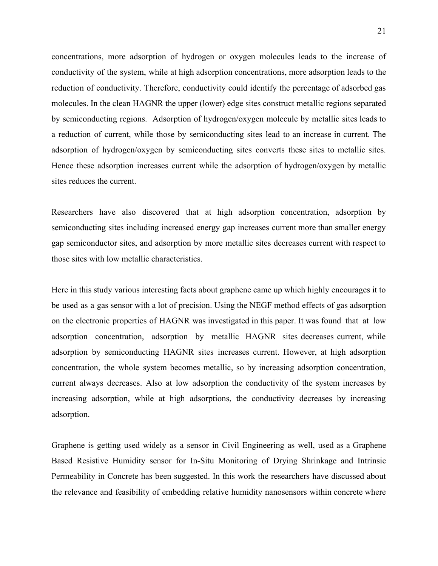concentrations, more adsorption of hydrogen or oxygen molecules leads to the increase of conductivity of the system, while at high adsorption concentrations, more adsorption leads to the reduction of conductivity. Therefore, conductivity could identify the percentage of adsorbed gas molecules. In the clean HAGNR the upper (lower) edge sites construct metallic regions separated by semiconducting regions. Adsorption of hydrogen/oxygen molecule by metallic sites leads to a reduction of current, while those by semiconducting sites lead to an increase in current. The adsorption of hydrogen/oxygen by semiconducting sites converts these sites to metallic sites. Hence these adsorption increases current while the adsorption of hydrogen/oxygen by metallic sites reduces the current.

Researchers have also discovered that at high adsorption concentration, adsorption by semiconducting sites including increased energy gap increases current more than smaller energy gap semiconductor sites, and adsorption by more metallic sites decreases current with respect to those sites with low metallic characteristics.

Here in this study various interesting facts about graphene came up which highly encourages it to be used as a gas sensor with a lot of precision. Using the NEGF method effects of gas adsorption on the electronic properties of HAGNR was investigated in this paper. It was found that at low adsorption concentration, adsorption by metallic HAGNR sites decreases current, while adsorption by semiconducting HAGNR sites increases current. However, at high adsorption concentration, the whole system becomes metallic, so by increasing adsorption concentration, current always decreases. Also at low adsorption the conductivity of the system increases by increasing adsorption, while at high adsorptions, the conductivity decreases by increasing adsorption.

Graphene is getting used widely as a sensor in Civil Engineering as well, used as a Graphene Based Resistive Humidity sensor for In-Situ Monitoring of Drying Shrinkage and Intrinsic Permeability in Concrete has been suggested. In this work the researchers have discussed about the relevance and feasibility of embedding relative humidity nanosensors within concrete where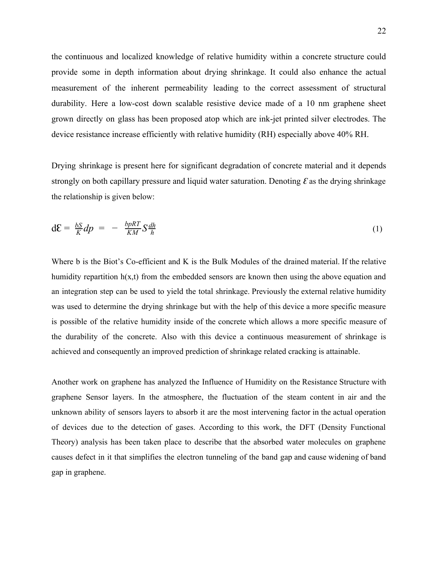the continuous and localized knowledge of relative humidity within a concrete structure could provide some in depth information about drying shrinkage. It could also enhance the actual measurement of the inherent permeability leading to the correct assessment of structural durability. Here a low-cost down scalable resistive device made of a 10 nm graphene sheet grown directly on glass has been proposed atop which are ink-jet printed silver electrodes. The device resistance increase efficiently with relative humidity (RH) especially above 40% RH.

Drying shrinkage is present here for significant degradation of concrete material and it depends strongly on both capillary pressure and liquid water saturation. Denoting  $\mathcal E$  as the drying shrinkage the relationship is given below:

$$
dE = \frac{bS}{K}dp = -\frac{bpRT}{KM}S\frac{dh}{h}
$$
 (1)

Where b is the Biot's Co-efficient and K is the Bulk Modules of the drained material. If the relative humidity repartition  $h(x,t)$  from the embedded sensors are known then using the above equation and an integration step can be used to yield the total shrinkage. Previously the external relative humidity was used to determine the drying shrinkage but with the help of this device a more specific measure is possible of the relative humidity inside of the concrete which allows a more specific measure of the durability of the concrete. Also with this device a continuous measurement of shrinkage is achieved and consequently an improved prediction of shrinkage related cracking is attainable.

Another work on graphene has analyzed the Influence of Humidity on the Resistance Structure with graphene Sensor layers. In the atmosphere, the fluctuation of the steam content in air and the unknown ability of sensors layers to absorb it are the most intervening factor in the actual operation of devices due to the detection of gases. According to this work, the DFT (Density Functional Theory) analysis has been taken place to describe that the absorbed water molecules on graphene causes defect in it that simplifies the electron tunneling of the band gap and cause widening of band gap in graphene.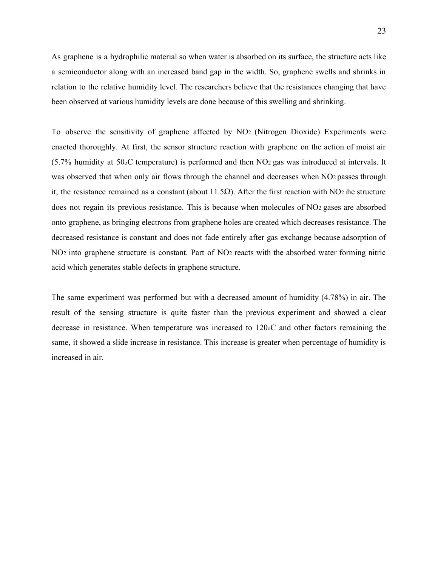As graphene is a hydrophilic material so when water is absorbed on its surface, the structure acts like a semiconductor along with an increased band gap in the width. So, graphene swells and shrinks in relation to the relative humidity level. The researchers believe that the resistances changing that have been observed at various humidity levels are done because of this swelling and shrinking.

To observe the sensitivity of graphene affected by  $NO<sub>2</sub>$  (Nitrogen Dioxide) Experiments were enacted thoroughly. At first, the sensor structure reaction with graphene on the action of moist air  $(5.7\%$  humidity at 50 oC temperature) is performed and then NO<sub>2</sub> gas was introduced at intervals. It was observed that when only air flows through the channel and decreases when NO<sub>2</sub> passes through it, the resistance remained as a constant (about 11.5 $\Omega$ ). After the first reaction with NO<sub>2</sub> the structure does not regain its previous resistance. This is because when molecules of NO<sub>2</sub> gases are absorbed onto graphene, as bringing electrons from graphene holes are created which decreases resistance. The decreased resistance is constant and does not fade entirely after gas exchange because adsorption of NO<sub>2</sub> into graphene structure is constant. Part of NO<sub>2</sub> reacts with the absorbed water forming nitric acid which generates stable defects in graphene structure.

The same experiment was performed but with a decreased amount of humidity (4.78%) in air. The result of the sensing structure is quite faster than the previous experiment and showed a clear decrease in resistance. When temperature was increased to 120 oC and other factors remaining the same, it showed a slide increase in resistance. This increase is greater when percentage of humidity is increased in air.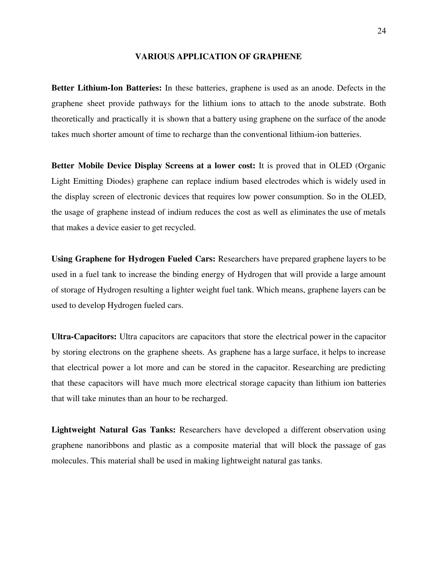#### **VARIOUS APPLICATION OF GRAPHENE**

**Better Lithium-Ion Batteries:** In these batteries, graphene is used as an anode. Defects in the graphene sheet provide pathways for the lithium ions to attach to the anode substrate. Both theoretically and practically it is shown that a battery using graphene on the surface of the anode takes much shorter amount of time to recharge than the conventional lithium-ion batteries.

**Better Mobile Device Display Screens at a lower cost:**  It is proved that in OLED (Organic Light Emitting Diodes) graphene can replace indium based electrodes which is widely used in the display screen of electronic devices that requires low power consumption. So in the OLED, the usage of graphene instead of indium reduces the cost as well as eliminates the use of metals that makes a device easier to get recycled.

**Using Graphene for Hydrogen Fueled Cars:** Researchers have prepared graphene layers to be used in a fuel tank to increase the binding energy of Hydrogen that will provide a large amount of storage of Hydrogen resulting a lighter weight fuel tank. Which means, graphene layers can be used to develop Hydrogen fueled cars.

**Ultra-Capacitors:** Ultra capacitors are capacitors that store the electrical power in the capacitor by storing electrons on the graphene sheets. As graphene has a large surface, it helps to increase that electrical power a lot more and can be stored in the capacitor. Researching are predicting that these capacitors will have much more electrical storage capacity than lithium ion batteries that will take minutes than an hour to be recharged.

Lightweight Natural Gas Tanks: Researchers have developed a different observation using graphene nanoribbons and plastic as a composite material that will block the passage of gas molecules. This material shall be used in making lightweight natural gas tanks.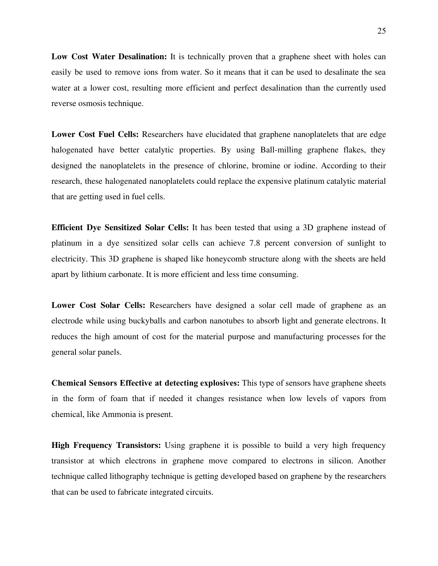Low Cost Water Desalination: It is technically proven that a graphene sheet with holes can easily be used to remove ions from water. So it means that it can be used to desalinate the sea water at a lower cost, resulting more efficient and perfect desalination than the currently used reverse osmosis technique.

Lower Cost Fuel Cells: Researchers have elucidated that graphene nanoplatelets that are edge halogenated have better catalytic properties. By using Ball-milling graphene flakes, they designed the nanoplatelets in the presence of chlorine, bromine or iodine. According to their research, these halogenated nanoplatelets could replace the expensive platinum catalytic material that are getting used in fuel cells.

**Efficient Dye Sensitized Solar Cells:** It has been tested that using a 3D graphene instead of platinum in a dye sensitized solar cells can achieve 7.8 percent conversion of sunlight to electricity. This 3D graphene is shaped like honeycomb structure along with the sheets are held apart by lithium carbonate. It is more efficient and less time consuming.

**Lower Cost Solar Cells:** Researchers have designed a solar cell made of graphene as an electrode while using buckyballs and carbon nanotubes to absorb light and generate electrons. It reduces the high amount of cost for the material purpose and manufacturing processes for the general solar panels.

**Chemical Sensors Effective at detecting explosives:** This type of sensors have graphene sheets in the form of foam that if needed it changes resistance when low levels of vapors from chemical, like Ammonia is present.

**High Frequency Transistors:** Using graphene it is possible to build a very high frequency transistor at which electrons in graphene move compared to electrons in silicon. Another technique called lithography technique is getting developed based on graphene by the researchers that can be used to fabricate integrated circuits.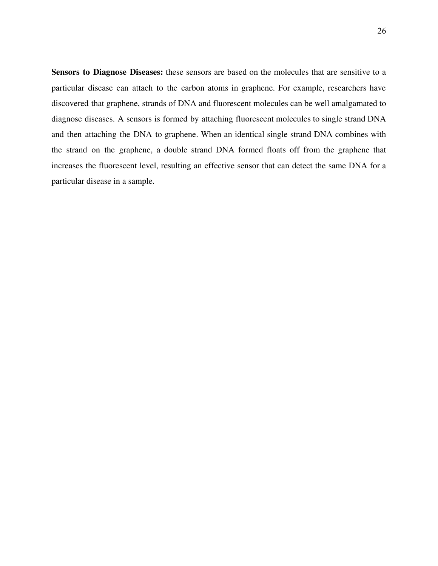**Sensors to Diagnose Diseases:** these sensors are based on the molecules that are sensitive to a particular disease can attach to the carbon atoms in graphene. For example, researchers have discovered that graphene, strands of DNA and fluorescent molecules can be well amalgamated to diagnose diseases. A sensors is formed by attaching fluorescent molecules to single strand DNA and then attaching the DNA to graphene. When an identical single strand DNA combines with the strand on the graphene, a double strand DNA formed floats off from the graphene that increases the fluorescent level, resulting an effective sensor that can detect the same DNA for a particular disease in a sample.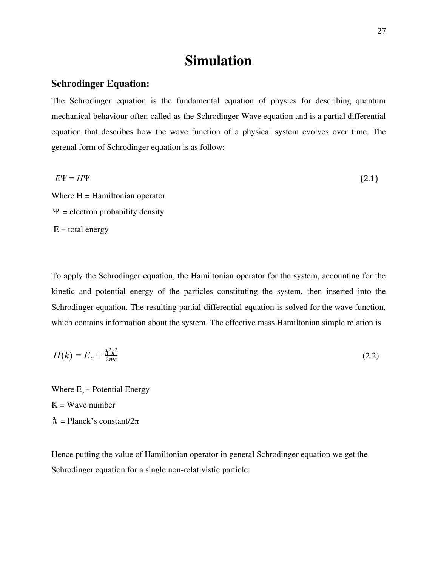# **Simulation**

## **Schrodinger Equation:**

The Schrodinger equation is the fundamental equation of physics for describing quantum mechanical behaviour often called as the Schrodinger Wave equation and is a partial differential equation that describes how the wave function of a physical system evolves over time. The gerenal form of Schrodinger equation is as follow:

$$
E\Psi = H\Psi \tag{2.1}
$$

Where  $H =$  Hamiltonian operator  $\Psi$  = electron probability density  $E =$  total energy

To apply the Schrodinger equation, the Hamiltonian operator for the system, accounting for the kinetic and potential energy of the particles constituting the system, then inserted into the Schrodinger equation. The resulting partial differential equation is solved for the wave function, which contains information about the system. The effective mass Hamiltonian simple relation is

$$
H(k) = E_c + \frac{\hbar^2 k^2}{2mc} \tag{2.2}
$$

Where  $E_c$  = Potential Energy  $K = Wave number$  $\hbar$  = Planck's constant/2 $\pi$ 

Hence putting the value of Hamiltonian operator in general Schrodinger equation we get the Schrodinger equation for a single non-relativistic particle: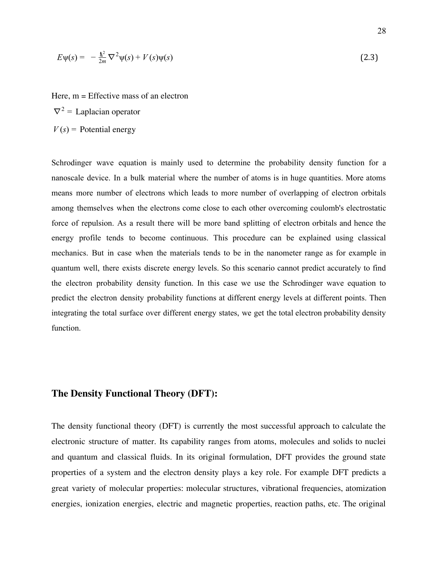$$
E\psi(s) = -\frac{\hbar^2}{2m}\nabla^2\psi(s) + V(s)\psi(s)
$$
\n(2.3)

Here, m = Effective mass of an electron  $\nabla^2$  = Laplacian operator  $V(s)$  = Potential energy

Schrodinger wave equation is mainly used to determine the probability density function for a nanoscale device. In a bulk material where the number of atoms is in huge quantities. More atoms means more number of electrons which leads to more number of overlapping of electron orbitals among themselves when the electrons come close to each other overcoming coulomb's electrostatic force of repulsion. As a result there will be more band splitting of electron orbitals and hence the energy profile tends to become continuous. This procedure can be explained using classical mechanics. But in case when the materials tends to be in the nanometer range as for example in quantum well, there exists discrete energy levels. So this scenario cannot predict accurately to find the electron probability density function. In this case we use the Schrodinger wave equation to predict the electron density probability functions at different energy levels at different points. Then integrating the total surface over different energy states, we get the total electron probability density function.

## **The Density Functional Theory (DFT):**

The density functional theory (DFT) is currently the most successful approach to calculate the electronic structure of matter. Its capability ranges from atoms, molecules and solids to nuclei and quantum and classical fluids. In its original formulation, DFT provides the ground state properties of a system and the electron density plays a key role. For example DFT predicts a great variety of molecular properties: molecular structures, vibrational frequencies, atomization energies, ionization energies, electric and magnetic properties, reaction paths, etc. The original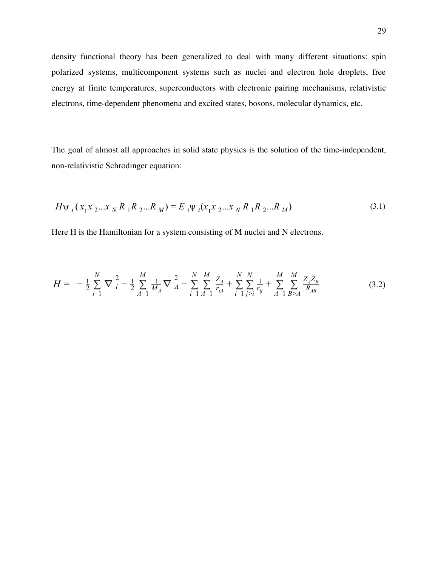density functional theory has been generalized to deal with many different situations: spin polarized systems, multicomponent systems such as nuclei and electron hole droplets, free energy at finite temperatures, superconductors with electronic pairing mechanisms, relativistic electrons, time-dependent phenomena and excited states, bosons, molecular dynamics, etc.

The goal of almost all approaches in solid state physics is the solution of the time-independent, non-relativistic Schrodinger equation:

$$
H\psi_i(x_1x_2...x_N R_1R_2...R_M) = E_i\psi_i(x_1x_2...x_N R_1R_2...R_M)
$$
\n(3.1)

Here H is the Hamiltonian for a system consisting of M nuclei and N electrons.

$$
H = -\frac{1}{2} \sum_{i=1}^{N} \nabla_i^2 - \frac{1}{2} \sum_{A=1}^{M} \frac{1}{M_A} \nabla_A^2 - \sum_{i=1}^{N} \sum_{A=1}^{M} \frac{Z_A}{r_{iA}} + \sum_{i=1}^{N} \sum_{j>i}^{N} \frac{1}{r_{ij}} + \sum_{A=1}^{M} \sum_{B>A}^{M} \frac{Z_A Z_B}{R_{AB}}
$$
(3.2)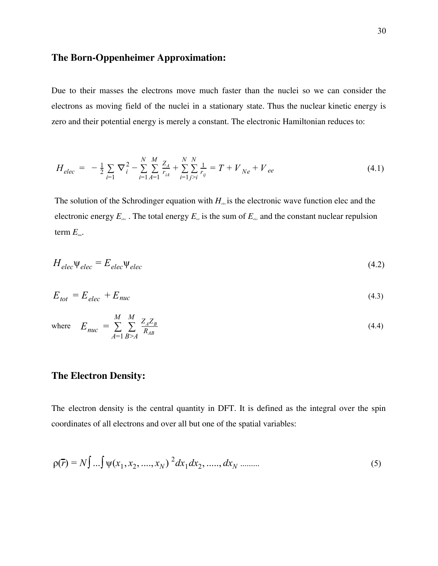## **The Born-Oppenheimer Approximation:**

Due to their masses the electrons move much faster than the nuclei so we can consider the electrons as moving field of the nuclei in a stationary state. Thus the nuclear kinetic energy is zero and their potential energy is merely a constant. The electronic Hamiltonian reduces to:

$$
H_{elec} = -\frac{1}{2} \sum_{i=1} \nabla_i^2 - \sum_{i=1}^N \sum_{A=1}^M \frac{Z_A}{r_{iA}} + \sum_{i=1}^N \sum_{j>i}^N \frac{1}{r_{ij}} = T + V_{Ne} + V_{ee}
$$
(4.1)

The solution of the Schrodinger equation with  $H_{\text{def}}$  is the electronic wave function elec and the electronic energy  $E_{\text{dec}}$ . The total energy  $E_{\text{net}}$  is the sum of  $E_{\text{dec}}$  and the constant nuclear repulsion term  $E_{\text{inc}}$ .

$$
H_{elec}\Psi_{elec} = E_{elec}\Psi_{elec}
$$
 (4.2)

$$
E_{tot} = E_{elec} + E_{nuc} \tag{4.3}
$$

where 
$$
E_{\text{nuc}} = \sum_{A=1}^{M} \sum_{B \ge A} \frac{Z_A Z_B}{R_{AB}}
$$
 (4.4)

## **The Electron Density:**

The electron density is the central quantity in DFT. It is defined as the integral over the spin coordinates of all electrons and over all but one of the spatial variables:

$$
\rho(\overline{r}) = N \int \dots \int \psi(x_1, x_2, \dots, x_N) \,^2 dx_1 dx_2, \dots, dx_N \dots \dots \tag{5}
$$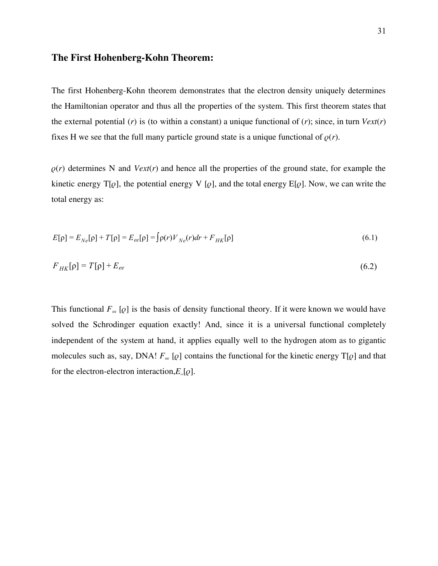#### **The First Hohenberg-Kohn Theorem:**

The first Hohenberg-Kohn theorem demonstrates that the electron density uniquely determines the Hamiltonian operator and thus all the properties of the system. This first theorem states that the external potential ( $r$ ) is (to within a constant) a unique functional of ( $r$ ); since, in turn  $Vext(r)$ fixes H we see that the full many particle ground state is a unique functional of  $\rho(r)$ .

 $\rho(r)$  determines N and  $Vext(r)$  and hence all the properties of the ground state, for example the kinetic energy  $T[\varrho]$ , the potential energy V  $[\varrho]$ , and the total energy E[ $\varrho$ ]. Now, we can write the total energy as:

$$
E[\rho] = E_{Ne}[\rho] + T[\rho] = E_{ee}[\rho] = \int \rho(r) V_{Ne}(r) dr + F_{HK}[\rho]
$$
\n(6.1)

$$
F_{HK}[\rho] = T[\rho] + E_{ee} \tag{6.2}
$$

This functional  $F_{\text{HK}}$  [ $\varrho$ ] is the basis of density functional theory. If it were known we would have solved the Schrodinger equation exactly! And, since it is a universal functional completely independent of the system at hand, it applies equally well to the hydrogen atom as to gigantic molecules such as, say, DNA!  $F_{\text{HK}}$  [ $\varrho$ ] contains the functional for the kinetic energy T[ $\varrho$ ] and that for the electron-electron interaction, $E_{e}[\varrho]$ .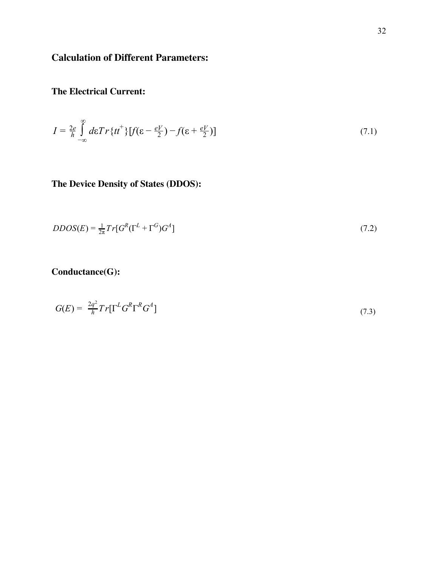## **Calculation of Different Parameters:**

## **The Electrical Current:**

$$
I = \frac{2e}{h} \int_{-\infty}^{\infty} d\varepsilon Tr\{tt^+\}\{f(\varepsilon - \frac{eV}{2}) - f(\varepsilon + \frac{eV}{2})\} \tag{7.1}
$$

## **The Device Density of States (DDOS):**

$$
DDOS(E) = \frac{1}{2\pi} Tr[G^R(\Gamma^L + \Gamma^G)G^A]
$$
\n(7.2)

## **Conductance(G):**

$$
G(E) = \frac{2q^2}{h} Tr[\Gamma^L G^R \Gamma^R G^A]
$$
\n(7.3)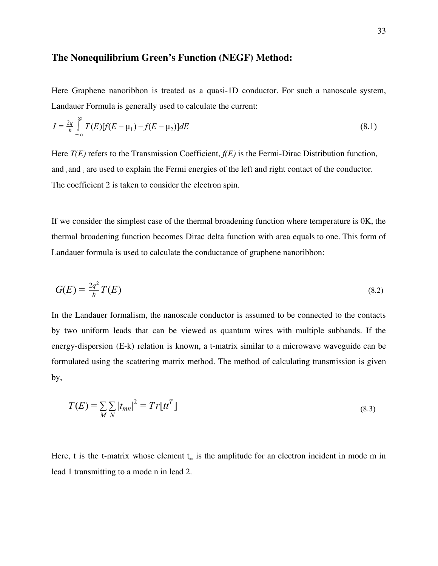#### **The Nonequilibrium Green's Function (NEGF) Method:**

Here Graphene nanoribbon is treated as a quasi-1D conductor. For such a nanoscale system, Landauer Formula is generally used to calculate the current:

$$
I = \frac{2q}{h} \int_{-\infty}^{\infty} T(E)[f(E - \mu_1) - f(E - \mu_2)]dE
$$
\n(8.1)

Here *T(E)* refers to the Transmission Coefficient, *f(E)* is the Fermi-Dirac Distribution function, and and, are used to explain the Fermi energies of the left and right contact of the conductor. The coefficient 2 is taken to consider the electron spin.

If we consider the simplest case of the thermal broadening function where temperature is 0K, the thermal broadening function becomes Dirac delta function with area equals to one. This form of Landauer formula is used to calculate the conductance of graphene nanoribbon:

$$
G(E) = \frac{2q^2}{h}T(E) \tag{8.2}
$$

In the Landauer formalism, the nanoscale conductor is assumed to be connected to the contacts by two uniform leads that can be viewed as quantum wires with multiple subbands. If the energy-dispersion (E-k) relation is known, a t-matrix similar to a microwave waveguide can be formulated using the scattering matrix method. The method of calculating transmission is given by,

$$
T(E) = \sum_{M} \sum_{N} |t_{mn}|^2 = Tr[tt^T]
$$
\n(8.3)

Here, t is the t-matrix whose element  $t_m$  is the amplitude for an electron incident in mode m in lead 1 transmitting to a mode n in lead 2.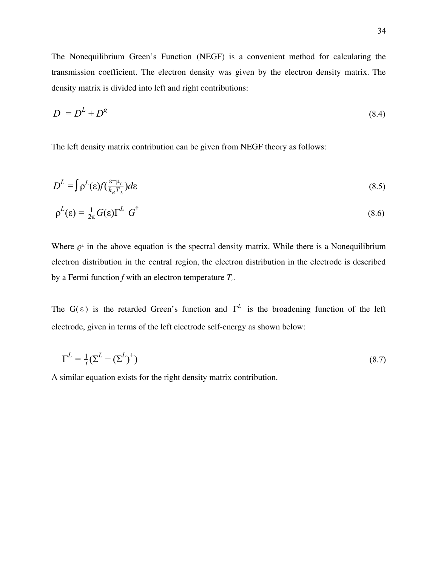The Nonequilibrium Green's Function (NEGF) is a convenient method for calculating the transmission coefficient. The electron density was given by the electron density matrix. The density matrix is divided into left and right contributions:

$$
D = D^L + D^g \tag{8.4}
$$

The left density matrix contribution can be given from NEGF theory as follows:

$$
D^{L} = \int \rho^{L}(\varepsilon) f(\frac{\varepsilon - \mu_{L}}{k_{B} T_{L}}) d\varepsilon
$$
\n(8.5)

$$
\rho^L(\varepsilon) = \frac{1}{2\pi} G(\varepsilon) \Gamma^L \ G^{\dagger} \tag{8.6}
$$

Where  $\rho^{\mu}$  in the above equation is the spectral density matrix. While there is a Nonequilibrium electron distribution in the central region, the electron distribution in the electrode is described by a Fermi function *f* with an electron temperature *L*.

The G( $\varepsilon$ ) is the retarded Green's function and  $\Gamma^L$  is the broadening function of the left electrode, given in terms of the left electrode self-energy as shown below:

$$
\Gamma^L = \frac{1}{i} (\Sigma^L - (\Sigma^L)^+)
$$
\n(8.7)

A similar equation exists for the right density matrix contribution.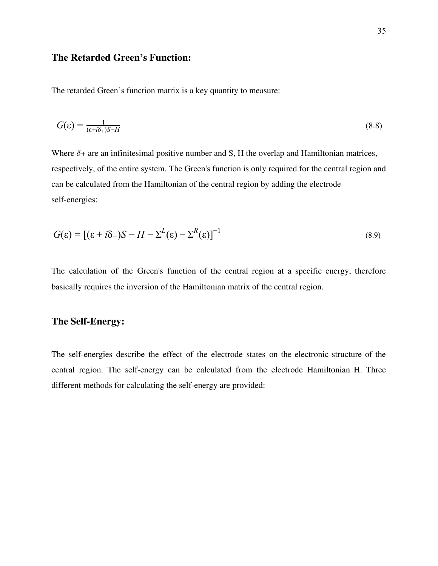### **The Retarded Green's Function:**

The retarded Green's function matrix is a key quantity to measure:

$$
G(\varepsilon) = \frac{1}{(\varepsilon + i\delta_+)S - H} \tag{8.8}
$$

Where  $\delta$ + are an infinitesimal positive number and S, H the overlap and Hamiltonian matrices, respectively, of the entire system. The Green's function is only required for the central region and can be calculated from the Hamiltonian of the central region by adding the electrode self-energies:

$$
G(\varepsilon) = [(\varepsilon + i\delta_+)S - H - \Sigma^L(\varepsilon) - \Sigma^R(\varepsilon)]^{-1}
$$
\n(8.9)

The calculation of the Green's function of the central region at a specific energy, therefore basically requires the inversion of the Hamiltonian matrix of the central region.

### **The Self-Energy:**

The self-energies describe the effect of the electrode states on the electronic structure of the central region. The self-energy can be calculated from the electrode Hamiltonian H. Three different methods for calculating the self-energy are provided: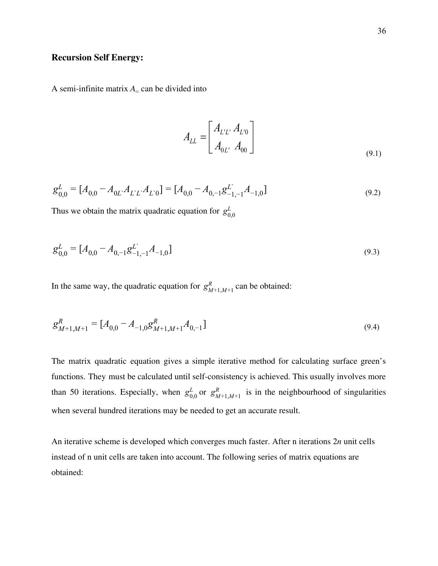### **Recursion Self Energy:**

A semi-infinite matrix  $A<sub>\mu</sub>$  can be divided into

$$
A_{LL} = \begin{bmatrix} A_{L'L'} & A_{L'0} \\ A_{0L'} & A_{00} \end{bmatrix}
$$
 (9.1)

$$
g_{0,0}^L = [A_{0,0} - A_{0L} A_{LL} A_{L'0}] = [A_{0,0} - A_{0,-1} g_{-1,-1}^L A_{-1,0}]
$$
\n(9.2)

Thus we obtain the matrix quadratic equation for  $g_0^L$ 0,0

$$
g_{0,0}^L = [A_{0,0} - A_{0,-1}g_{-1,-1}^L A_{-1,0}]
$$
\n(9.3)

In the same way, the quadratic equation for  $g_{M+1,M+1}^R$  can be obtained: *M*+1,*M*+1

$$
g_{M+1,M+1}^{R} = [A_{0,0} - A_{-1,0}g_{M+1,M+1}^{R}A_{0,-1}]
$$
\n(9.4)

The matrix quadratic equation gives a simple iterative method for calculating surface green's functions. They must be calculated until self-consistency is achieved. This usually involves more than 50 iterations. Especially, when  $g_{0,0}^L$  or  $g_{M+1,M+1}^R$  is in the neighbourhood of singularities when several hundred iterations may be needed to get an accurate result.

An iterative scheme is developed which converges much faster. After n iterations  $2n$  unit cells instead of n unit cells are taken into account. The following series of matrix equations are obtained: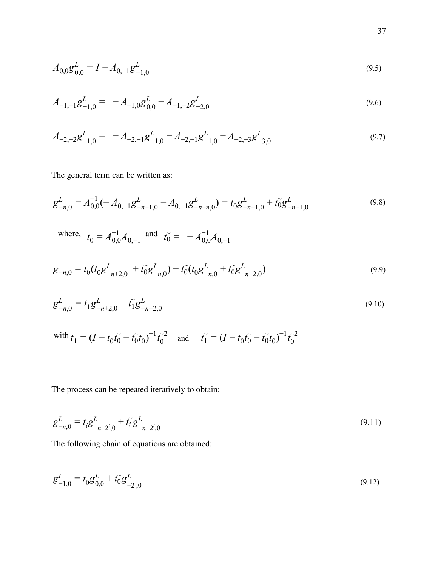$$
A_{0,0}g_{0,0}^L = I - A_{0,-1}g_{-1,0}^L
$$
\n(9.5)

$$
A_{-1,-1}g_{-1,0}^L = -A_{-1,0}g_{0,0}^L - A_{-1,-2}g_{-2,0}^L
$$
\n(9.6)

$$
A_{-2,-2}g_{-1,0}^L = -A_{-2,-1}g_{-1,0}^L - A_{-2,-1}g_{-1,0}^L - A_{-2,-3}g_{-3,0}^L
$$
\n(9.7)

The general term can be written as:

$$
g_{-n,0}^L = A_{0,0}^{-1}(-A_{0,-1}g_{-n+1,0}^L - A_{0,-1}g_{-n-n,0}^L) = t_0 g_{-n+1,0}^L + t_0 g_{-n-1,0}^L
$$
\n(9.8)

where,  $t_0 = A_{0,0}^{-1} A_{0,-1}$  and  $t_0 = -A_{0,0}^{-1} A_{0,-1}$ 

$$
g_{-n,0} = t_0 (t_0 g_{-n+2,0}^L + t_0 g_{-n,0}^L) + t_0 (t_0 g_{-n,0}^L + t_0 g_{-n-2,0}^L)
$$
\n(9.9)

$$
g_{-n,0}^L = t_1 g_{-n+2,0}^L + t_1 g_{-n-2,0}^L \tag{9.10}
$$

with 
$$
t_1 = (I - t_0 t_0 - t_0^2 t_0)^{-1} t_0^{-2}
$$
 and  $t_1 = (I - t_0 t_0 - t_0^2 t_0)^{-1} t_0^{-2}$ 

The process can be repeated iteratively to obtain:

$$
g_{-n,0}^L = t_i g_{-n+2^i,0}^L + t_i g_{-n-2^i,0}^L
$$
\n(9.11)

The following chain of equations are obtained:

$$
g_{-1,0}^L = t_0 g_{0,0}^L + t_0 g_{-2,0}^L \tag{9.12}
$$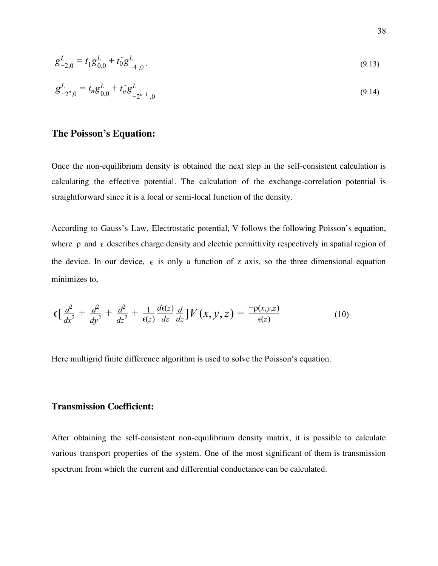$$
g_{-2,0}^L = t_1 g_{0,0}^L + t_0 g_{-4,0}^L
$$
\n(9.13)

$$
g_{-2^{n},0}^{L} = t_{n}g_{0,0}^{L} + t_{n}g_{-2^{n+1},0}^{L}
$$
\n(9.14)

### **The Poisson's Equation:**

Once the non-equilibrium density is obtained the next step in the self-consistent calculation is calculating the effective potential. The calculation of the exchange-correlation potential is straightforward since it is a local or semi-local function of the density.

According to Gauss's Law, Electrostatic potential, V follows the following Poisson's equation, where  $\rho$  and  $\epsilon$  describes charge density and electric permittivity respectively in spatial region of the device. In our device,  $\epsilon$  is only a function of z axis, so the three dimensional equation minimizes to,

$$
\epsilon \left[ \frac{d^2}{dx^2} + \frac{d^2}{dy^2} + \frac{d^2}{dz^2} + \frac{1}{\epsilon(z)} \frac{d\epsilon(z)}{dz} \frac{d}{dz} \right] V(x, y, z) = \frac{-\rho(x, y, z)}{\epsilon(z)}
$$
(10)

Here multigrid finite difference algorithm is used to solve the Poisson's equation.

#### **Transmission Coefficient:**

After obtaining the self-consistent non-equilibrium density matrix, it is possible to calculate various transport properties of the system. One of the most significant of them is transmission spectrum from which the current and differential conductance can be calculated.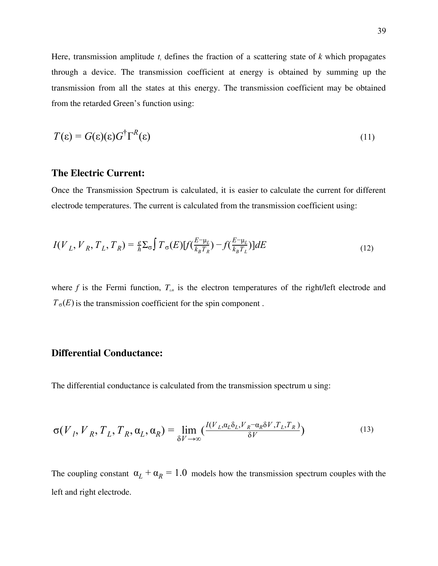Here, transmission amplitude  $t_k$  defines the fraction of a scattering state of  $k$  which propagates through a device. The transmission coefficient at energy is obtained by summing up the transmission from all the states at this energy. The transmission coefficient may be obtained from the retarded Green's function using:

$$
T(\varepsilon) = G(\varepsilon)(\varepsilon)G^{\dagger}\Gamma^{R}(\varepsilon)
$$
\n(11)

### **The Electric Current:**

Once the Transmission Spectrum is calculated, it is easier to calculate the current for different electrode temperatures. The current is calculated from the transmission coefficient using:

$$
I(V_L, V_R, T_L, T_R) = \frac{e}{h} \Sigma_{\sigma} \int T_{\sigma}(E) [f(\frac{E - \mu_L}{k_B T_R}) - f(\frac{E - \mu_L}{k_B T_L})] dE \tag{12}
$$

where  $f$  is the Fermi function,  $T_{\mu\nu}$  is the electron temperatures of the right/left electrode and  $T_{\sigma}(E)$  is the transmission coefficient for the spin component.

## **Differential Conductance:**

The differential conductance is calculated from the transmission spectrum u sing:

$$
\sigma(V_I, V_R, T_L, T_R, \alpha_L, \alpha_R) = \lim_{\delta V \to \infty} \left( \frac{I(V_L, \alpha_L \delta_L, V_R - \alpha_R \delta V, T_L, T_R)}{\delta V} \right)
$$
(13)

The coupling constant  $\alpha_L + \alpha_R = 1.0$  models how the transmission spectrum couples with the left and right electrode.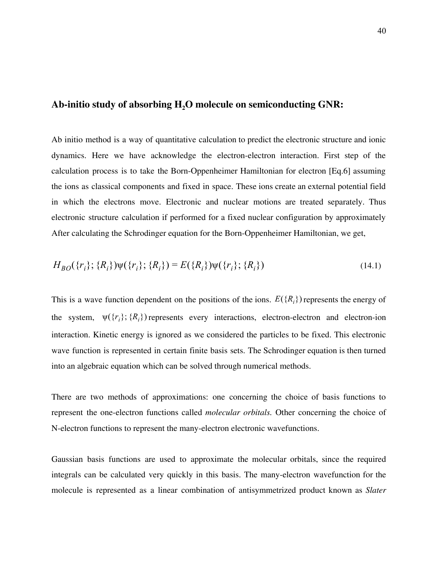#### **Ab-initio study of absorbing H<sup>2</sup>O molecule on semiconducting GNR:**

Ab initio method is a way of quantitative calculation to predict the electronic structure and ionic dynamics. Here we have acknowledge the electron-electron interaction. First step of the calculation process is to take the Born-Oppenheimer Hamiltonian for electron [Eq.6] assuming the ions as classical components and fixed in space. These ions create an external potential field in which the electrons move. Electronic and nuclear motions are treated separately. Thus electronic structure calculation if performed for a fixed nuclear configuration by approximately After calculating the Schrodinger equation for the Born-Oppenheimer Hamiltonian, we get,

$$
H_{BO}(\{r_i\}; \{R_i\})\psi(\{r_i\}; \{R_i\}) = E(\{R_i\})\psi(\{r_i\}; \{R_i\})
$$
\n(14.1)

This is a wave function dependent on the positions of the ions.  $E({R_i})$  represents the energy of the system,  $\psi({r_i}; {\{R_i\}})$  represents every interactions, electron-electron and electron-ion interaction. Kinetic energy is ignored as we considered the particles to be fixed. This electronic wave function is represented in certain finite basis sets. The Schrodinger equation is then turned into an algebraic equation which can be solved through numerical methods.

There are two methods of approximations: one concerning the choice of basis functions to represent the one-electron functions called *molecular orbitals*. Other concerning the choice of N-electron functions to represent the many-electron electronic wavefunctions.

Gaussian basis functions are used to approximate the molecular orbitals, since the required integrals can be calculated very quickly in this basis. The many-electron wavefunction for the molecule is represented as a linear combination of antisymmetrized product known as *Slater*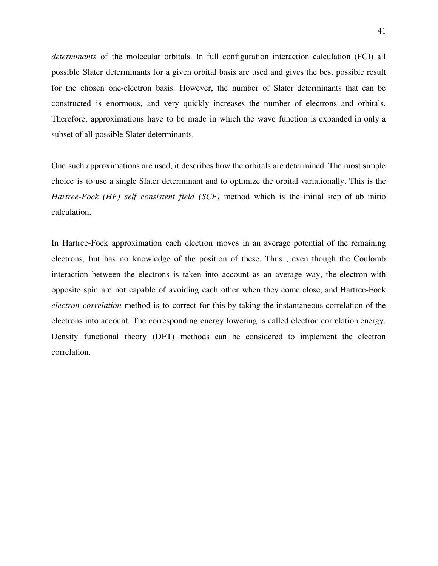*determinants* of the molecular orbitals. In full configuration interaction calculation (FCI) all possible Slater determinants for a given orbital basis are used and gives the best possible result for the chosen one-electron basis. However, the number of Slater determinants that can be constructed is enormous, and very quickly increases the number of electrons and orbitals. Therefore, approximations have to be made in which the wave function is expanded in only a subset of all possible Slater determinants.

One such approximations are used, it describes how the orbitals are determined. The most simple choice is to use a single Slater determinant and to optimize the orbital variationally. This is the *Hartree-Fock (HF) self consistent field (SCF)* method which is the initial step of ab initio calculation.

In Hartree-Fock approximation each electron moves in an average potential of the remaining electrons, but has no knowledge of the position of these. Thus , even though the Coulomb interaction between the electrons is taken into account as an average way, the electron with opposite spin are not capable of avoiding each other when they come close, and Hartree-Fock *electron correlation* method is to correct for this by taking the instantaneous correlation of the electrons into account. The corresponding energy lowering is called electron correlation energy. Density functional theory (DFT) methods can be considered to implement the electron correlation.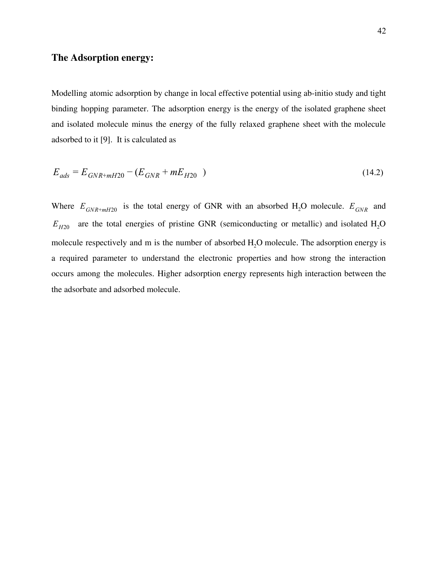### **The Adsorption energy:**

Modelling atomic adsorption by change in local effective potential using ab-initio study and tight binding hopping parameter. The adsorption energy is the energy of the isolated graphene sheet and isolated molecule minus the energy of the fully relaxed graphene sheet with the molecule adsorbed to it [9]. It is calculated as

$$
E_{ads} = E_{GNR+mH20} - (E_{GNR} + mE_{H20})
$$
\n(14.2)

Where  $E_{GNR+mH20}$  is the total energy of GNR with an absorbed  $H_2O$  molecule.  $E_{GNR}$  and  $E_{H20}$  are the total energies of pristine GNR (semiconducting or metallic) and isolated H<sub>2</sub>O molecule respectively and  $m$  is the number of absorbed  $H<sub>2</sub>O$  molecule. The adsorption energy is a required parameter to understand the electronic properties and how strong the interaction occurs among the molecules. Higher adsorption energy represents high interaction between the the adsorbate and adsorbed molecule.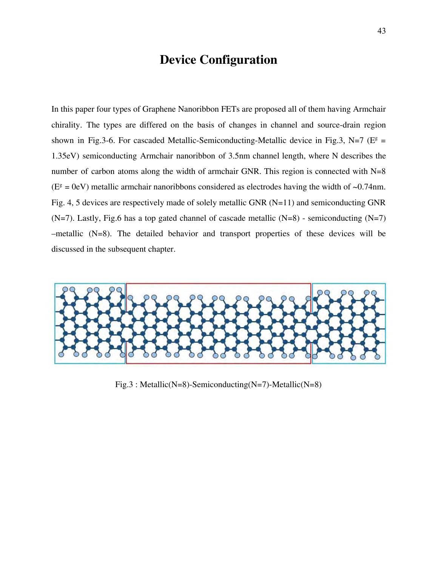## **Device Configuration**

In this paper four types of Graphene Nanoribbon FETs are proposed all of them having Armchair chirality. The types are differed on the basis of changes in channel and source-drain region shown in Fig.3-6. For cascaded Metallic-Semiconducting-Metallic device in Fig.3, N=7 ( $E^g$  = 1.35eV) semiconducting Armchair nanoribbon of 3.5nm channel length, where N describes the number of carbon atoms along the width of armchair GNR. This region is connected with N=8  $(E^g = 0eV)$  metallic armchair nanoribbons considered as electrodes having the width of ~0.74nm. Fig. 4, 5 devices are respectively made of solely metallic GNR (N=11) and semiconducting GNR  $(N=7)$ . Lastly, Fig.6 has a top gated channel of cascade metallic  $(N=8)$  - semiconducting  $(N=7)$ –metallic (N=8). The detailed behavior and transport properties of these devices will be discussed in the subsequent chapter.



Fig.3 : Metallic(N=8)-Semiconducting(N=7)-Metallic(N=8)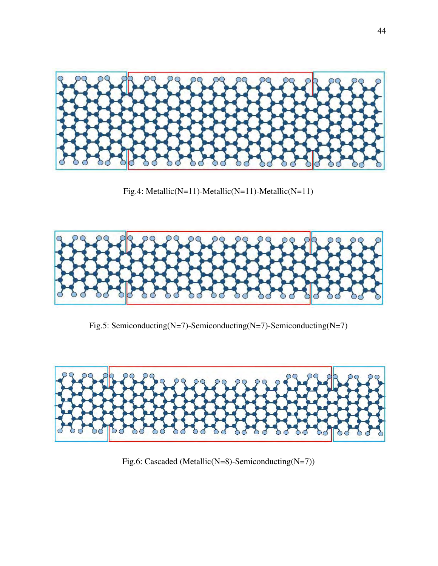

Fig.4: Metallic(N=11)-Metallic(N=11)-Metallic(N=11)



Fig.5: Semiconducting(N=7)-Semiconducting(N=7)-Semiconducting(N=7)



Fig.6: Cascaded (Metallic(N=8)-Semiconducting(N=7))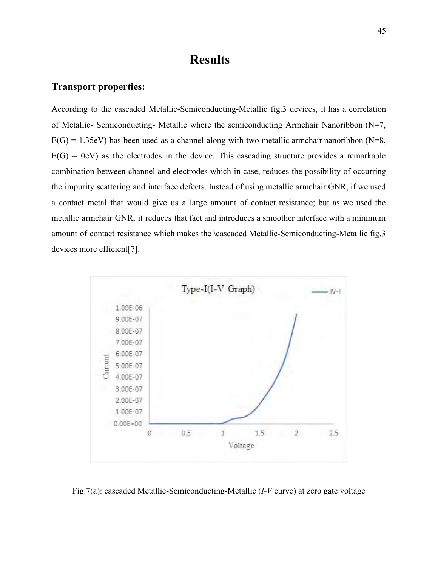## **Results**

#### **Transport properties:**

According to the cascaded Metallic-Semiconducting-Metallic fig.3 devices, it has a correlation of Metallic- Semiconducting- Metallic where the semiconducting Armchair Nanoribbon (N=7,  $E(G) = 1.35$ eV) has been used as a channel along with two metallic armchair nanoribbon (N=8,  $E(G) = 0$ eV) as the electrodes in the device. This cascading structure provides a remarkable combination between channel and electrodes which in case, reduces the possibility of occurring the impurity scattering and interface defects. Instead of using metallic armchair GNR, if we used a contact metal that would give us a large amount of contact resistance; but as we used the metallic armchair GNR, it reduces that fact and introduces a smoother interface with a minimum amount of contact resistance which makes the \cascaded Metallic-Semiconducting-Metallic fig.3 devices more efficient[7].



Fig.7(a): cascaded Metallic-Semiconducting-Metallic (*I-V* curve) at zero gate voltage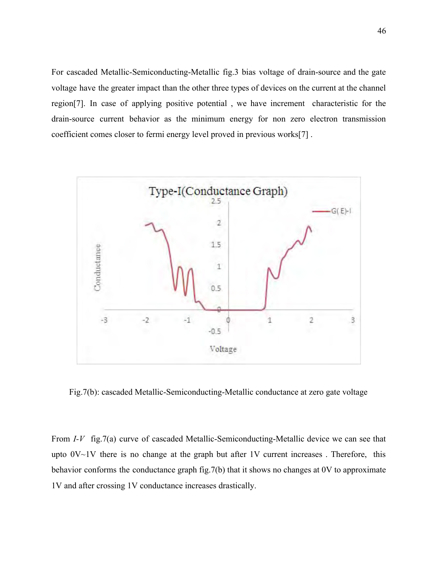For cascaded Metallic-Semiconducting-Metallic fig.3 bias voltage of drain-source and the gate voltage have the greater impact than the other three types of devices on the current at the channel region[7]. In case of applying positive potential , we have increment characteristic for the drain-source current behavior as the minimum energy for non zero electron transmission coefficient comes closer to fermi energy level proved in previous works[7] .



Fig.7(b): cascaded Metallic-Semiconducting-Metallic conductance at zero gate voltage

From *I-V* fig.7(a) curve of cascaded Metallic-Semiconducting-Metallic device we can see that upto  $0V~1V$  there is no change at the graph but after 1V current increases. Therefore, this behavior conforms the conductance graph fig.7(b) that it shows no changes at 0V to approximate 1V and after crossing 1V conductance increases drastically.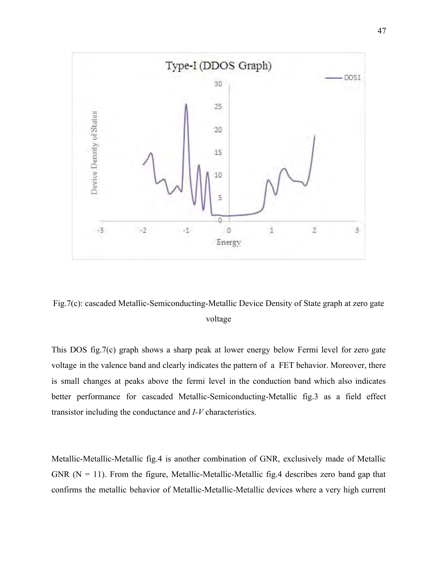

Fig.7(c): cascaded Metallic-Semiconducting-Metallic Device Density of State graph at zero gate voltage

This DOS fig.7(c) graph shows a sharp peak at lower energy below Fermi level for zero gate voltage in the valence band and clearly indicates the pattern of a FET behavior. Moreover, there is small changes at peaks above the fermi level in the conduction band which also indicates better performance for cascaded Metallic-Semiconducting-Metallic fig.3 as a field effect transistor including the conductance and *I-V* characteristics.

Metallic-Metallic-Metallic fig.4 is another combination of GNR, exclusively made of Metallic GNR  $(N = 11)$ . From the figure, Metallic-Metallic-Metallic fig. 4 describes zero band gap that confirms the metallic behavior of Metallic-Metallic-Metallic devices where a very high current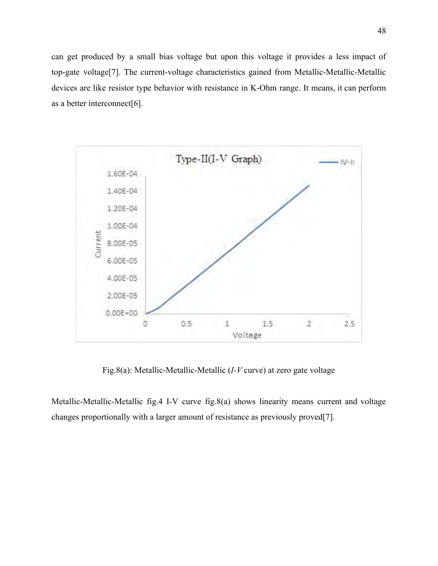can get produced by a small bias voltage but upon this voltage it provides a less impact of top-gate voltage[7]. The current-voltage characteristics gained from Metallic-Metallic-Metallic devices are like resistor type behavior with resistance in K-Ohm range. It means, it can perform as a better interconnect[6].



Fig.8(a): Metallic-Metallic-Metallic (*I-V* curve) at zero gate voltage

Metallic-Metallic-Metallic fig.4 I-V curve fig.8(a) shows linearity means current and voltage changes proportionally with a larger amount of resistance as previously proved[7].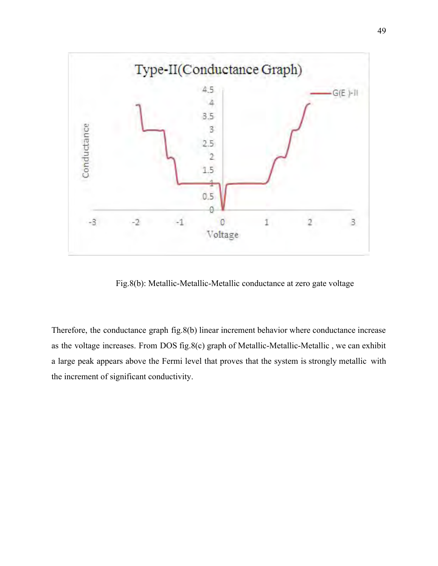

Fig.8(b): Metallic-Metallic-Metallic conductance at zero gate voltage

Therefore, the conductance graph fig.8(b) linear increment behavior where conductance increase as the voltage increases. From DOS fig.8(c) graph of Metallic-Metallic-Metallic , we can exhibit a large peak appears above the Fermi level that proves that the system is strongly metallic with the increment of significant conductivity.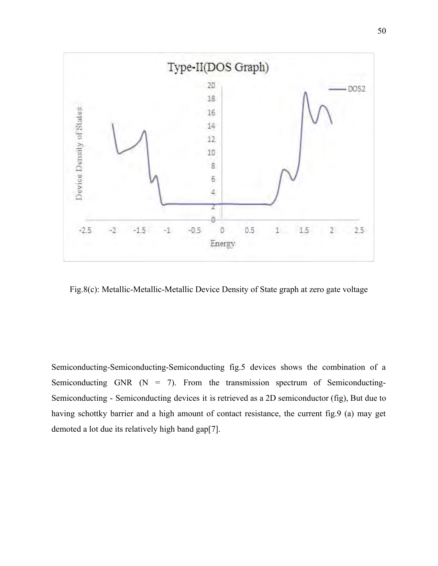

Fig.8(c): Metallic-Metallic-Metallic Device Density of State graph at zero gate voltage

Semiconducting-Semiconducting-Semiconducting fig.5 devices shows the combination of a Semiconducting GNR  $(N = 7)$ . From the transmission spectrum of Semiconducting-Semiconducting - Semiconducting devices it is retrieved as a 2D semiconductor (fig), But due to having schottky barrier and a high amount of contact resistance, the current fig.9 (a) may get demoted a lot due its relatively high band gap[7].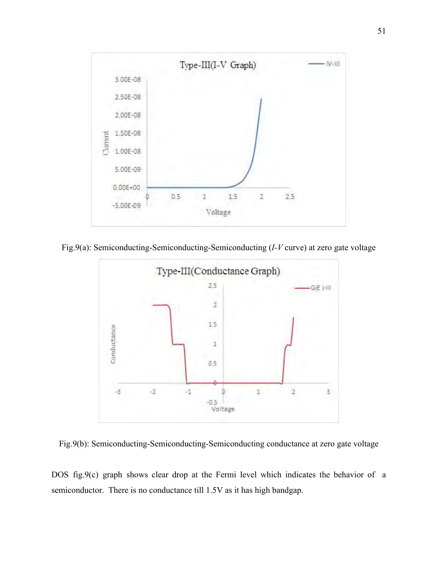

Fig.9(a): Semiconducting-Semiconducting-Semiconducting (*I-V* curve) at zero gate voltage



Fig.9(b): Semiconducting-Semiconducting-Semiconducting conductance at zero gate voltage

DOS fig.9(c) graph shows clear drop at the Fermi level which indicates the behavior of a semiconductor. There is no conductance till 1.5V as it has high bandgap.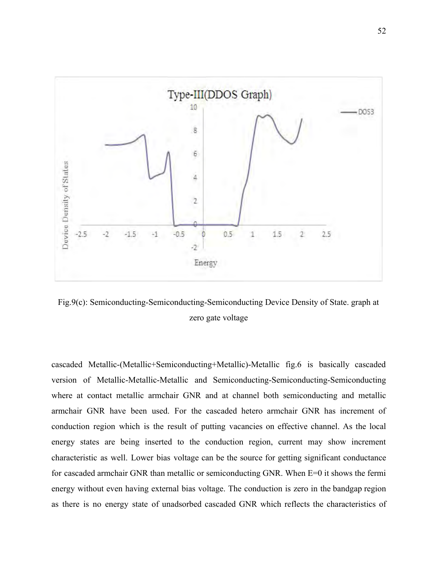

Fig.9(c): Semiconducting-Semiconducting-Semiconducting Device Density of State. graph at zero gate voltage

cascaded Metallic-(Metallic+Semiconducting+Metallic)-Metallic fig.6 is basically cascaded version of Metallic-Metallic-Metallic and Semiconducting-Semiconducting-Semiconducting where at contact metallic armchair GNR and at channel both semiconducting and metallic armchair GNR have been used. For the cascaded hetero armchair GNR has increment of conduction region which is the result of putting vacancies on effective channel. As the local energy states are being inserted to the conduction region, current may show increment characteristic as well. Lower bias voltage can be the source for getting significant conductance for cascaded armchair GNR than metallic or semiconducting GNR. When E=0 it shows the fermi energy without even having external bias voltage. The conduction is zero in the bandgap region as there is no energy state of unadsorbed cascaded GNR which reflects the characteristics of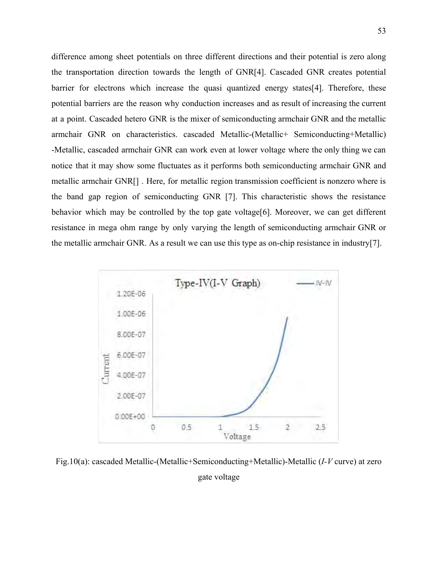difference among sheet potentials on three different directions and their potential is zero along the transportation direction towards the length of GNR[4]. Cascaded GNR creates potential barrier for electrons which increase the quasi quantized energy states[4]. Therefore, these potential barriers are the reason why conduction increases and as result of increasing the current at a point. Cascaded hetero GNR is the mixer of semiconducting armchair GNR and the metallic armchair GNR on characteristics. cascaded Metallic-(Metallic+ Semiconducting+Metallic) -Metallic, cascaded armchair GNR can work even at lower voltage where the only thing we can notice that it may show some fluctuates as it performs both semiconducting armchair GNR and metallic armchair GNR[] . Here, for metallic region transmission coefficient is nonzero where is the band gap region of semiconducting GNR [7]. This characteristic shows the resistance behavior which may be controlled by the top gate voltage[6]. Moreover, we can get different resistance in mega ohm range by only varying the length of semiconducting armchair GNR or the metallic armchair GNR. As a result we can use this type as on-chip resistance in industry[7].



Fig.10(a): cascaded Metallic-(Metallic+Semiconducting+Metallic)-Metallic (*I-V* curve) at zero gate voltage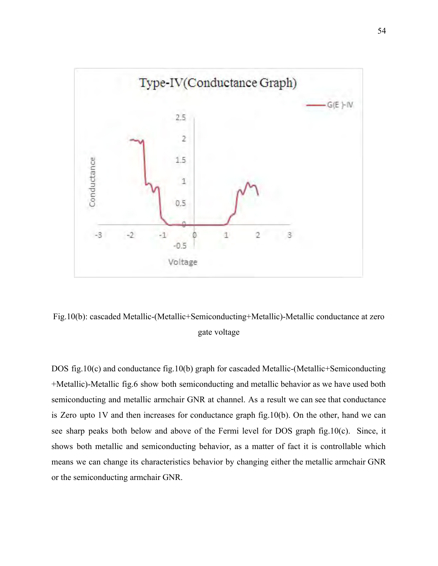

Fig.10(b): cascaded Metallic-(Metallic+Semiconducting+Metallic)-Metallic conductance at zero gate voltage

DOS fig.10(c) and conductance fig.10(b) graph for cascaded Metallic-(Metallic+Semiconducting +Metallic)-Metallic fig.6 show both semiconducting and metallic behavior as we have used both semiconducting and metallic armchair GNR at channel. As a result we can see that conductance is Zero upto 1V and then increases for conductance graph fig.10(b). On the other, hand we can see sharp peaks both below and above of the Fermi level for DOS graph fig.10(c). Since, it shows both metallic and semiconducting behavior, as a matter of fact it is controllable which means we can change its characteristics behavior by changing either the metallic armchair GNR or the semiconducting armchair GNR.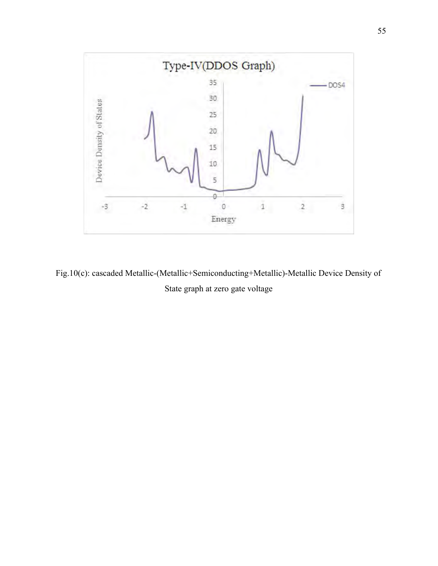

Fig.10(c): cascaded Metallic-(Metallic+Semiconducting+Metallic)-Metallic Device Density of State graph at zero gate voltage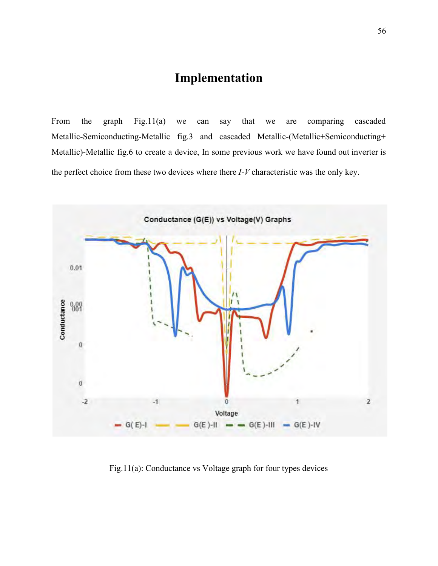# **Implementation**

From the graph Fig.11(a) we can say that we are comparing cascaded Metallic-Semiconducting-Metallic fig.3 and cascaded Metallic-(Metallic+Semiconducting+ Metallic)-Metallic fig.6 to create a device, In some previous work we have found out inverter is the perfect choice from these two devices where there *I-V* characteristic was the only key.



Fig.11(a): Conductance vs Voltage graph for four types devices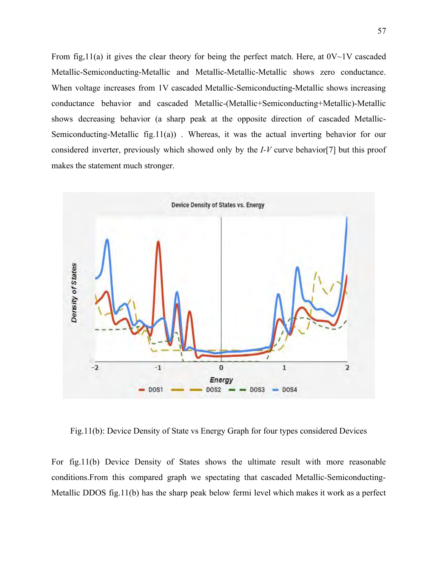From fig,  $11(a)$  it gives the clear theory for being the perfect match. Here, at  $0V~1V$  cascaded Metallic-Semiconducting-Metallic and Metallic-Metallic-Metallic shows zero conductance. When voltage increases from 1V cascaded Metallic-Semiconducting-Metallic shows increasing conductance behavior and cascaded Metallic-(Metallic+Semiconducting+Metallic)-Metallic shows decreasing behavior (a sharp peak at the opposite direction of cascaded Metallic-Semiconducting-Metallic fig.11(a)) . Whereas, it was the actual inverting behavior for our considered inverter, previously which showed only by the *I-V* curve behavior[7] but this proof makes the statement much stronger.



Fig.11(b): Device Density of State vs Energy Graph for four types considered Devices

For fig.11(b) Device Density of States shows the ultimate result with more reasonable conditions.From this compared graph we spectating that cascaded Metallic-Semiconducting-Metallic DDOS fig.11(b) has the sharp peak below fermi level which makes it work as a perfect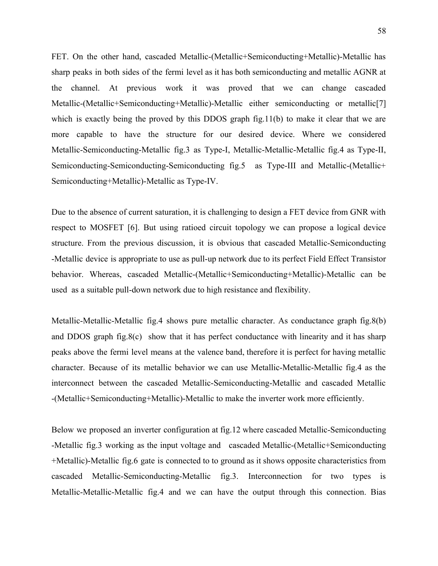FET. On the other hand, cascaded Metallic-(Metallic+Semiconducting+Metallic)-Metallic has sharp peaks in both sides of the fermi level as it has both semiconducting and metallic AGNR at the channel. At previous work it was proved that we can change cascaded Metallic-(Metallic+Semiconducting+Metallic)-Metallic either semiconducting or metallic[7] which is exactly being the proved by this DDOS graph fig.11(b) to make it clear that we are more capable to have the structure for our desired device. Where we considered Metallic-Semiconducting-Metallic fig.3 as Type-I, Metallic-Metallic-Metallic fig.4 as Type-II, Semiconducting-Semiconducting-Semiconducting fig.5 as Type-III and Metallic-(Metallic+ Semiconducting+Metallic)-Metallic as Type-IV.

Due to the absence of current saturation, it is challenging to design a FET device from GNR with respect to MOSFET [6]. But using ratioed circuit topology we can propose a logical device structure. From the previous discussion, it is obvious that cascaded Metallic-Semiconducting -Metallic device is appropriate to use as pull-up network due to its perfect Field Effect Transistor behavior. Whereas, cascaded Metallic-(Metallic+Semiconducting+Metallic)-Metallic can be used as a suitable pull-down network due to high resistance and flexibility.

Metallic-Metallic-Metallic fig.4 shows pure metallic character. As conductance graph fig.8(b) and DDOS graph fig.8(c) show that it has perfect conductance with linearity and it has sharp peaks above the fermi level means at the valence band, therefore it is perfect for having metallic character. Because of its metallic behavior we can use Metallic-Metallic-Metallic fig.4 as the interconnect between the cascaded Metallic-Semiconducting-Metallic and cascaded Metallic -(Metallic+Semiconducting+Metallic)-Metallic to make the inverter work more efficiently.

Below we proposed an inverter configuration at fig.12 where cascaded Metallic-Semiconducting -Metallic fig.3 working as the input voltage and cascaded Metallic-(Metallic+Semiconducting +Metallic)-Metallic fig.6 gate is connected to to ground as it shows opposite characteristics from cascaded Metallic-Semiconducting-Metallic fig.3. Interconnection for two types is Metallic-Metallic-Metallic fig.4 and we can have the output through this connection. Bias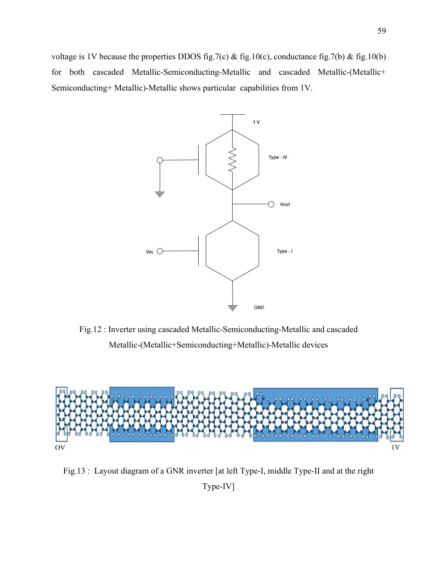voltage is 1V because the properties DDOS fig.7(c) & fig.10(c), conductance fig.7(b) & fig.10(b) for both cascaded Metallic-Semiconducting-Metallic and cascaded Metallic-(Metallic+ Semiconducting+ Metallic)-Metallic shows particular capabilities from 1V.



Fig.12 : Inverter using cascaded Metallic-Semiconducting-Metallic and cascaded Metallic-(Metallic+Semiconducting+Metallic)-Metallic devices



Fig.13 : Layout diagram of a GNR inverter [at left Type-I, middle Type-II and at the right

Type-IV]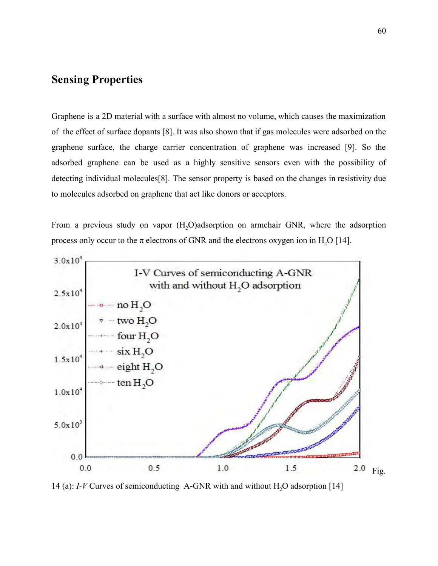## **Sensing Properties**

Graphene is a 2D material with a surface with almost no volume, which causes the maximization of the effect of surface dopants [8]. It was also shown that if gas molecules were adsorbed on the graphene surface, the charge carrier concentration of graphene was increased [9]. So the adsorbed graphene can be used as a highly sensitive sensors even with the possibility of detecting individual molecules[8]. The sensor property is based on the changes in resistivity due to molecules adsorbed on graphene that act like donors or acceptors.

From a previous study on vapor  $(H, O)$ adsorption on armchair GNR, where the adsorption process only occur to the  $\pi$  electrons of GNR and the electrons oxygen ion in H<sub>2</sub>O [14].



14 (a): *I-V* Curves of semiconducting A-GNR with and without H<sub>2</sub>O adsorption [14]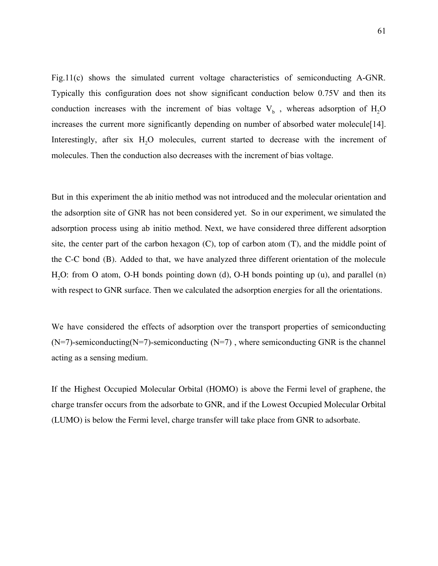Fig.11(c) shows the simulated current voltage characteristics of semiconducting A-GNR. Typically this configuration does not show significant conduction below 0.75V and then its conduction increases with the increment of bias voltage  $V_b$ , whereas adsorption of  $H_2O$ increases the current more significantly depending on number of absorbed water molecule[14]. Interestingly, after six H<sub>2</sub>O molecules, current started to decrease with the increment of molecules. Then the conduction also decreases with the increment of bias voltage.

But in this experiment the ab initio method was not introduced and the molecular orientation and the adsorption site of GNR has not been considered yet. So in our experiment, we simulated the adsorption process using ab initio method. Next, we have considered three different adsorption site, the center part of the carbon hexagon (C), top of carbon atom (T), and the middle point of the C-C bond (B). Added to that, we have analyzed three different orientation of the molecule H<sub>2</sub>O: from O atom, O-H bonds pointing down (d), O-H bonds pointing up (u), and parallel (n) with respect to GNR surface. Then we calculated the adsorption energies for all the orientations.

We have considered the effects of adsorption over the transport properties of semiconducting  $(N=7)$ -semiconducting(N=7)-semiconducting (N=7), where semiconducting GNR is the channel acting as a sensing medium.

If the Highest Occupied Molecular Orbital (HOMO) is above the Fermi level of graphene, the charge transfer occurs from the adsorbate to GNR, and if the Lowest Occupied Molecular Orbital (LUMO) is below the Fermi level, charge transfer will take place from GNR to adsorbate.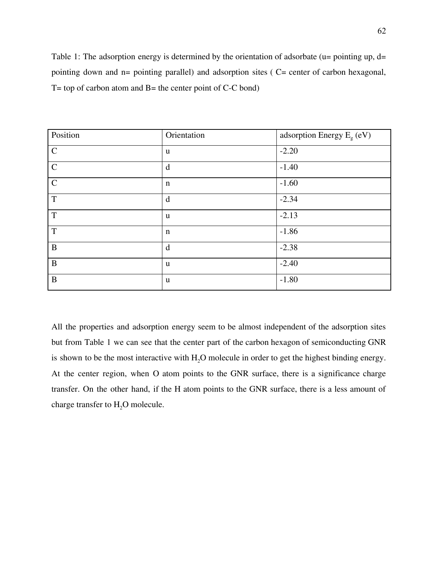Table 1: The adsorption energy is determined by the orientation of adsorbate (u= pointing up, d= pointing down and n= pointing parallel) and adsorption sites ( C= center of carbon hexagonal,  $T = top of carbon atom and B = the center point of C-C bond)$ 

| Position      | Orientation | adsorption Energy $E_{g}$ (eV) |
|---------------|-------------|--------------------------------|
| $\mathcal{C}$ | u           | $-2.20$                        |
| $\mathsf{C}$  | d           | $-1.40$                        |
| $\mathcal{C}$ | n           | $-1.60$                        |
| $\mathbf T$   | d           | $-2.34$                        |
| $\mathbf T$   | u           | $-2.13$                        |
| T             | $\mathbf n$ | $-1.86$                        |
| $\bf{B}$      | d           | $-2.38$                        |
| $\bf{B}$      | u           | $-2.40$                        |
| $\bf{B}$      | u           | $-1.80$                        |

All the properties and adsorption energy seem to be almost independent of the adsorption sites but from Table 1 we can see that the center part of the carbon hexagon of semiconducting GNR is shown to be the most interactive with H<sub>2</sub>O molecule in order to get the highest binding energy. At the center region, when O atom points to the GNR surface, there is a significance charge transfer. On the other hand, if the H atom points to the GNR surface, there is a less amount of charge transfer to  $H_2O$  molecule.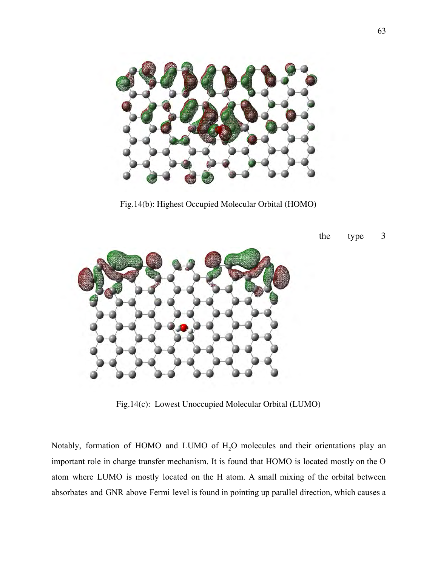

Fig.14(b): Highest Occupied Molecular Orbital (HOMO)



the type 3

Fig.14(c): Lowest Unoccupied Molecular Orbital (LUMO)

Notably, formation of HOMO and LUMO of  $H_2O$  molecules and their orientations play an important role in charge transfer mechanism. It is found that HOMO is located mostly on the O atom where LUMO is mostly located on the H atom. A small mixing of the orbital between absorbates and GNR above Fermi level is found in pointing up parallel direction, which causes a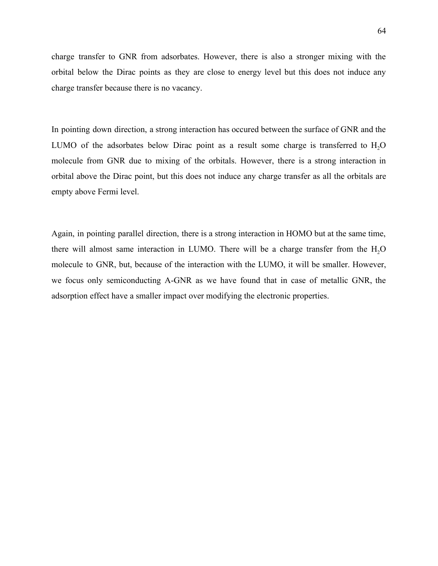charge transfer to GNR from adsorbates. However, there is also a stronger mixing with the orbital below the Dirac points as they are close to energy level but this does not induce any charge transfer because there is no vacancy.

In pointing down direction, a strong interaction has occured between the surface of GNR and the LUMO of the adsorbates below Dirac point as a result some charge is transferred to  $H<sub>2</sub>O$ molecule from GNR due to mixing of the orbitals. However, there is a strong interaction in orbital above the Dirac point, but this does not induce any charge transfer as all the orbitals are empty above Fermi level.

Again, in pointing parallel direction, there is a strong interaction in HOMO but at the same time, there will almost same interaction in LUMO. There will be a charge transfer from the  $H<sub>2</sub>O$ molecule to GNR, but, because of the interaction with the LUMO, it will be smaller. However, we focus only semiconducting A-GNR as we have found that in case of metallic GNR, the adsorption effect have a smaller impact over modifying the electronic properties.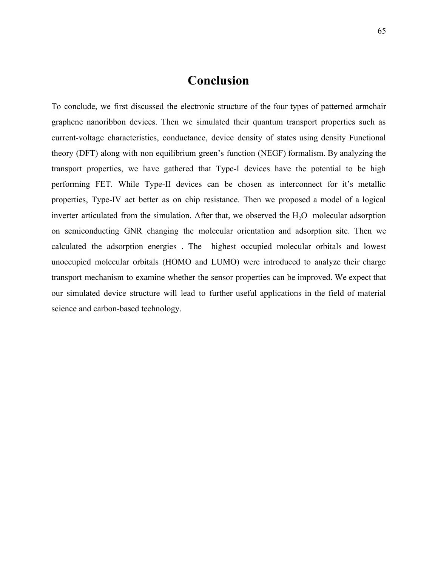# **Conclusion**

To conclude, we first discussed the electronic structure of the four types of patterned armchair graphene nanoribbon devices. Then we simulated their quantum transport properties such as current-voltage characteristics, conductance, device density of states using density Functional theory (DFT) along with non equilibrium green's function (NEGF) formalism. By analyzing the transport properties, we have gathered that Type-I devices have the potential to be high performing FET. While Type-II devices can be chosen as interconnect for it's metallic properties, Type-IV act better as on chip resistance. Then we proposed a model of a logical inverter articulated from the simulation. After that, we observed the  $H<sub>2</sub>O$  molecular adsorption on semiconducting GNR changing the molecular orientation and adsorption site. Then we calculated the adsorption energies . The highest occupied molecular orbitals and lowest unoccupied molecular orbitals (HOMO and LUMO) were introduced to analyze their charge transport mechanism to examine whether the sensor properties can be improved. We expect that our simulated device structure will lead to further useful applications in the field of material science and carbon-based technology.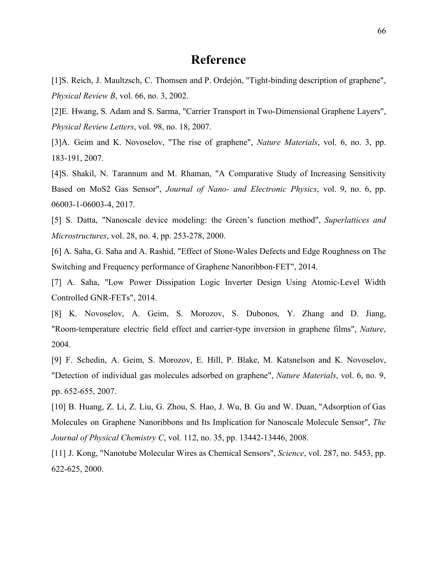## **Reference**

[1]S. Reich, J. Maultzsch, C. Thomsen and P. Ordejón, "Tight-binding description of graphene", *Physical Review B*, vol. 66, no. 3, 2002.

[2]E. Hwang, S. Adam and S. Sarma, "Carrier Transport in Two-Dimensional Graphene Layers", *Physical Review Letters*, vol. 98, no. 18, 2007.

[3]A. Geim and K. Novoselov, "The rise of graphene", *Nature Materials*, vol. 6, no. 3, pp. 183-191, 2007.

[4]S. Shakil, N. Tarannum and M. Rhaman, "A Comparative Study of Increasing Sensitivity Based on MoS2 Gas Sensor", *Journal of Nano- and Electronic Physics*, vol. 9, no. 6, pp. 06003-1-06003-4, 2017.

[5] S. Datta, "Nanoscale device modeling: the Green's function method", *Superlattices and Microstructures*, vol. 28, no. 4, pp. 253-278, 2000.

[6] A. Saha, G. Saha and A. Rashid, "Effect of Stone-Wales Defects and Edge Roughness on The Switching and Frequency performance of Graphene Nanoribbon-FET", 2014.

[7] A. Saha, "Low Power Dissipation Logic Inverter Design Using Atomic-Level Width Controlled GNR-FETs", 2014.

[8] K. Novoselov, A. Geim, S. Morozov, S. Dubonos, Y. Zhang and D. Jiang, "Room-temperature electric field effect and carrier-type inversion in graphene films", *Nature*, 2004.

[9] F. Schedin, A. Geim, S. Morozov, E. Hill, P. Blake, M. Katsnelson and K. Novoselov, "Detection of individual gas molecules adsorbed on graphene", *Nature Materials*, vol. 6, no. 9, pp. 652-655, 2007.

[10] B. Huang, Z. Li, Z. Liu, G. Zhou, S. Hao, J. Wu, B. Gu and W. Duan, "Adsorption of Gas Molecules on Graphene Nanoribbons and Its Implication for Nanoscale Molecule Sensor", *The Journal of Physical Chemistry C*, vol. 112, no. 35, pp. 13442-13446, 2008.

[11] J. Kong, "Nanotube Molecular Wires as Chemical Sensors", *Science*, vol. 287, no. 5453, pp. 622-625, 2000.